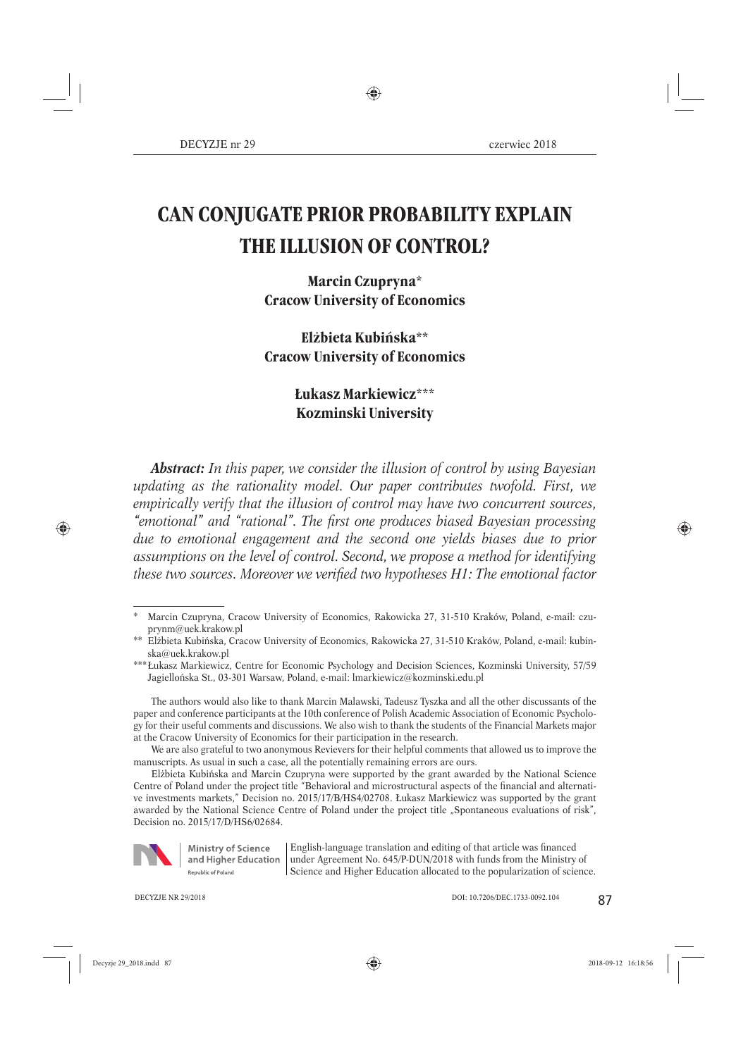# **CAN CONJUGATE PRIOR PROBABILITY EXPLAIN THE ILLUSION OF CONTROL?**

# **Marcin Czupryna\* Cracow University of Economics**

# **Elżbieta Kubińska\*\* Cracow University of Economics**

# **Łukasz Markiewicz\*\*\* Kozminski University**

*Abstract: In this paper, we consider the illusion of control by using Bayesian updating as the rationality model. Our paper contributes twofold. First, we empirically verify that the illusion of control may have two concurrent sources,*  "emotional" and "rational". The first one produces biased Bayesian processing *due to emotional engagement and the second one yields biases due to prior assumptions on the level of control. Second, we propose a method for identifying these two sources. Moreover we verified two hypotheses H1: The emotional factor* 

Elżbieta Kubińska and Marcin Czupryna were supported by the grant awarded by the National Science Centre of Poland under the project title "Behavioral and microstructural aspects of the financial and alternative investments markets," Decision no. 2015/17/B/HS4/02708. Łukasz Markiewicz was supported by the grant awarded by the National Science Centre of Poland under the project title "Spontaneous evaluations of risk", Decision no. 2015/17/D/HS6/02684.



**Ministry of Science** and Higher Education Republic of Poland

English-language translation and editing of that article was financed under Agreement No. 645/P-DUN/2018 with funds from the Ministry of Science and Higher Education allocated to the popularization of science.

Marcin Czupryna, Cracow University of Economics, Rakowicka 27, 31-510 Kraków, Poland, e-mail: czuprynm@uek.krakow.pl

<sup>\*\*</sup> Elżbieta Kubińska, Cracow University of Economics, Rakowicka 27, 31-510 Kraków, Poland, e-mail: kubinska@uek.krakow.pl

<sup>\*\*\*</sup> Łukasz Markiewicz, Centre for Economic Psychology and Decision Sciences, Kozminski University, 57/59 Jagiellońska St., 03-301 Warsaw, Poland, e-mail: lmarkiewicz@kozminski.edu.pl

The authors would also like to thank Marcin Malawski, Tadeusz Tyszka and all the other discussants of the paper and conference participants at the 10th conference of Polish Academic Association of Economic Psychology for their useful comments and discussions. We also wish to thank the students of the Financial Markets major at the Cracow University of Economics for their participation in the research.

We are also grateful to two anonymous Revievers for their helpful comments that allowed us to improve the manuscripts. As usual in such a case, all the potentially remaining errors are ours.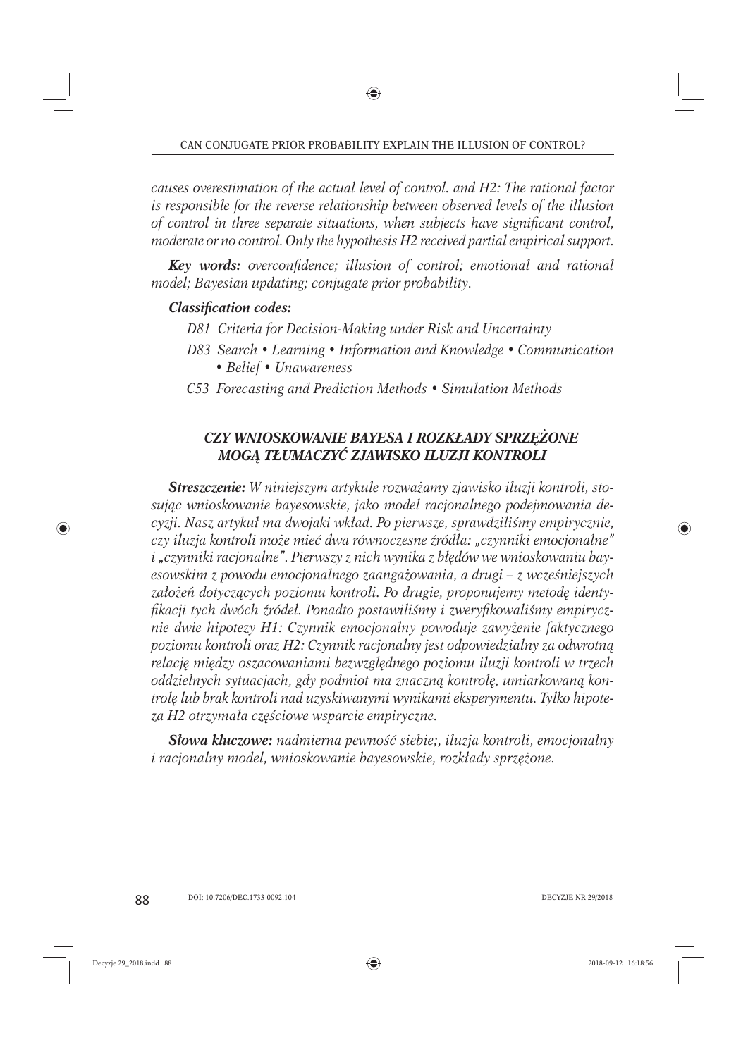*causes overestimation of the actual level of control. and H2: The rational factor is responsible for the reverse relationship between observed levels of the illusion*  of control in three separate situations, when subjects have significant control, *moderate or no control. Only the hypothesis H2 received partial empirical support.*

*Key words: overconfidence; illusion of control; emotional and rational model; Bayesian updating; conjugate prior probability.*

# **Classification codes:**

- *D81 Criteria for Decision-Making under Risk and Uncertainty*
- *D83 Search Learning Information and Knowledge Communication • Belief • Unawareness*
- *C53 Forecasting and Prediction Methods Simulation Methods*

# *CZY WNIOSKOWANIE BAYESA I ROZKŁADY SPRZĘŻONE MOGĄ TŁUMACZYĆ ZJAWISKO ILUZJI KONTROLI*

*Streszczenie: W niniejszym artykule rozważamy zjawisko iluzji kontroli, stosując wnioskowanie bayesowskie, jako model racjonalnego podejmowania decyzji. Nasz artykuł ma dwojaki wkład. Po pierwsze, sprawdziliśmy empirycznie, czy iluzja kontroli może mieć dwa równoczesne źródła: "czynniki emocjonalne" i "czynniki racjonalne". Pierwszy z nich wynika z błędów we wnioskowaniu bayesowskim z powodu emocjonalnego zaangażowania, a drugi – z wcześniejszych założeń dotyczących poziomu kontroli. Po drugie, proponujemy metodę identyfi kacji tych dwóch źródeł. Ponadto postawiliśmy i zweryfi kowaliśmy empirycznie dwie hipotezy H1: Czynnik emocjonalny powoduje zawyżenie faktycznego poziomu kontroli oraz H2: Czynnik racjonalny jest odpowiedzialny za odwrotną relację między oszacowaniami bezwzględnego poziomu iluzji kontroli w trzech oddzielnych sytuacjach, gdy podmiot ma znaczną kontrolę, umiarkowaną kontrolę lub brak kontroli nad uzyskiwanymi wynikami eksperymentu. Tylko hipoteza H2 otrzymała częściowe wsparcie empiryczne.*

*Słowa kluczowe: nadmierna pewność siebie;, iluzja kontroli, emocjonalny i racjonalny model, wnioskowanie bayesowskie, rozkłady sprzężone.*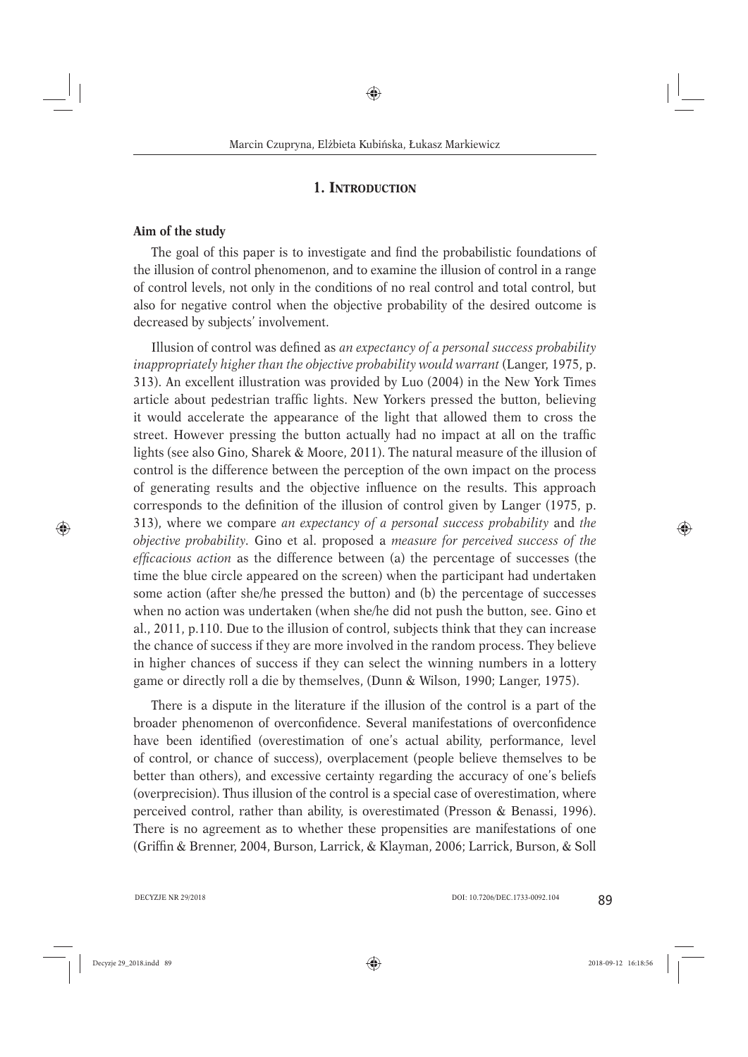## **1. INTRODUCTION**

#### **Aim of the study**

The goal of this paper is to investigate and find the probabilistic foundations of the illusion of control phenomenon, and to examine the illusion of control in a range of control levels, not only in the conditions of no real control and total control, but also for negative control when the objective probability of the desired outcome is decreased by subjects' involvement.

Illusion of control was defined as *an expectancy of a personal success probability inappropriately higher than the objective probability would warrant* (Langer, 1975, p. 313). An excellent illustration was provided by Luo (2004) in the New York Times article about pedestrian traffic lights. New Yorkers pressed the button, believing it would accelerate the appearance of the light that allowed them to cross the street. However pressing the button actually had no impact at all on the traffic lights (see also Gino, Sharek & Moore, 2011). The natural measure of the illusion of control is the difference between the perception of the own impact on the process of generating results and the objective influence on the results. This approach corresponds to the definition of the illusion of control given by Langer (1975, p. 313), where we compare *an expectancy of a personal success probability* and *the objective probability.* Gino et al. proposed a *measure for perceived success of the effi cacious action* as the difference between (a) the percentage of successes (the time the blue circle appeared on the screen) when the participant had undertaken some action (after she/he pressed the button) and (b) the percentage of successes when no action was undertaken (when she/he did not push the button, see. Gino et al., 2011, p.110. Due to the illusion of control, subjects think that they can increase the chance of success if they are more involved in the random process. They believe in higher chances of success if they can select the winning numbers in a lottery game or directly roll a die by themselves, (Dunn & Wilson, 1990; Langer, 1975).

There is a dispute in the literature if the illusion of the control is a part of the broader phenomenon of overconfidence. Several manifestations of overconfidence have been identified (overestimation of one's actual ability, performance, level of control, or chance of success), overplacement (people believe themselves to be better than others), and excessive certainty regarding the accuracy of one's beliefs (overprecision). Thus illusion of the control is a special case of overestimation, where perceived control, rather than ability, is overestimated (Presson & Benassi, 1996). There is no agreement as to whether these propensities are manifestations of one (Griffin & Brenner, 2004, Burson, Larrick, & Klayman, 2006; Larrick, Burson, & Soll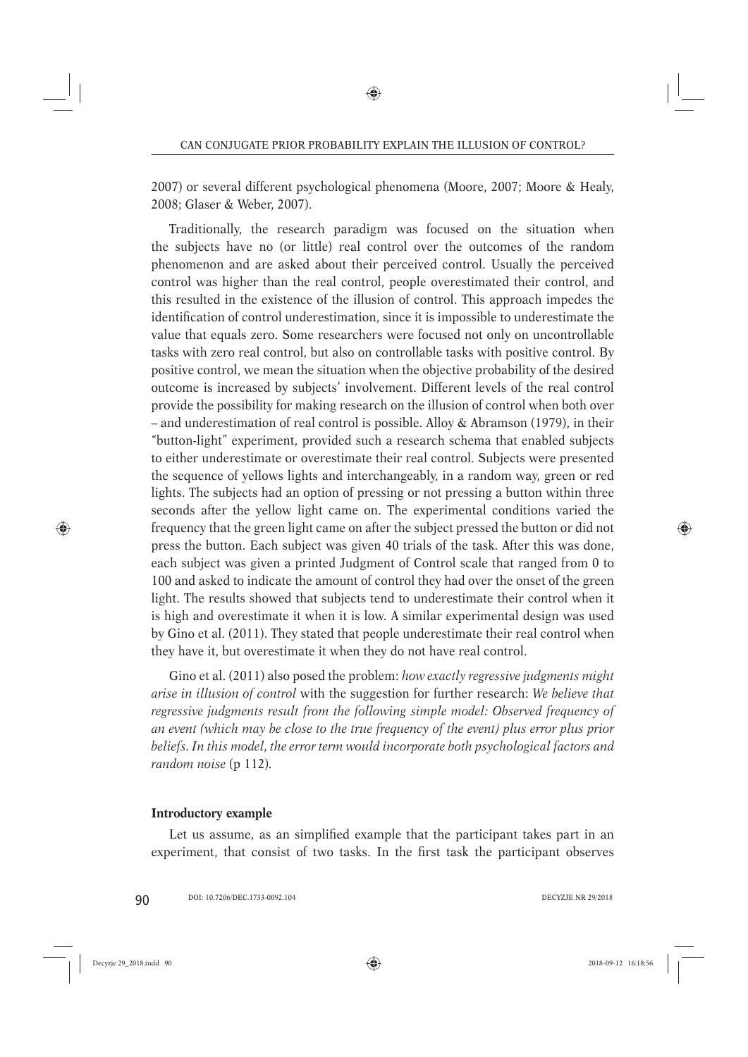2007) or several different psychological phenomena (Moore, 2007; Moore & Healy, 2008; Glaser & Weber, 2007).

Traditionally, the research paradigm was focused on the situation when the subjects have no (or little) real control over the outcomes of the random phenomenon and are asked about their perceived control. Usually the perceived control was higher than the real control, people overestimated their control, and this resulted in the existence of the illusion of control. This approach impedes the identification of control underestimation, since it is impossible to underestimate the value that equals zero. Some researchers were focused not only on uncontrollable tasks with zero real control, but also on controllable tasks with positive control. By positive control, we mean the situation when the objective probability of the desired outcome is increased by subjects' involvement. Different levels of the real control provide the possibility for making research on the illusion of control when both over – and underestimation of real control is possible. Alloy & Abramson (1979), in their "button-light" experiment, provided such a research schema that enabled subjects to either underestimate or overestimate their real control. Subjects were presented the sequence of yellows lights and interchangeably, in a random way, green or red lights. The subjects had an option of pressing or not pressing a button within three seconds after the yellow light came on. The experimental conditions varied the frequency that the green light came on after the subject pressed the button or did not press the button. Each subject was given 40 trials of the task. After this was done, each subject was given a printed Judgment of Control scale that ranged from 0 to 100 and asked to indicate the amount of control they had over the onset of the green light. The results showed that subjects tend to underestimate their control when it is high and overestimate it when it is low. A similar experimental design was used by Gino et al. (2011). They stated that people underestimate their real control when they have it, but overestimate it when they do not have real control.

Gino et al. (2011) also posed the problem: *how exactly regressive judgments might arise in illusion of control* with the suggestion for further research: *We believe that regressive judgments result from the following simple model: Observed frequency of an event (which may be close to the true frequency of the event) plus error plus prior beliefs. In this model, the error term would incorporate both psychological factors and random noise* (p 112)*.*

#### **Introductory example**

Let us assume, as an simplified example that the participant takes part in an experiment, that consist of two tasks. In the first task the participant observes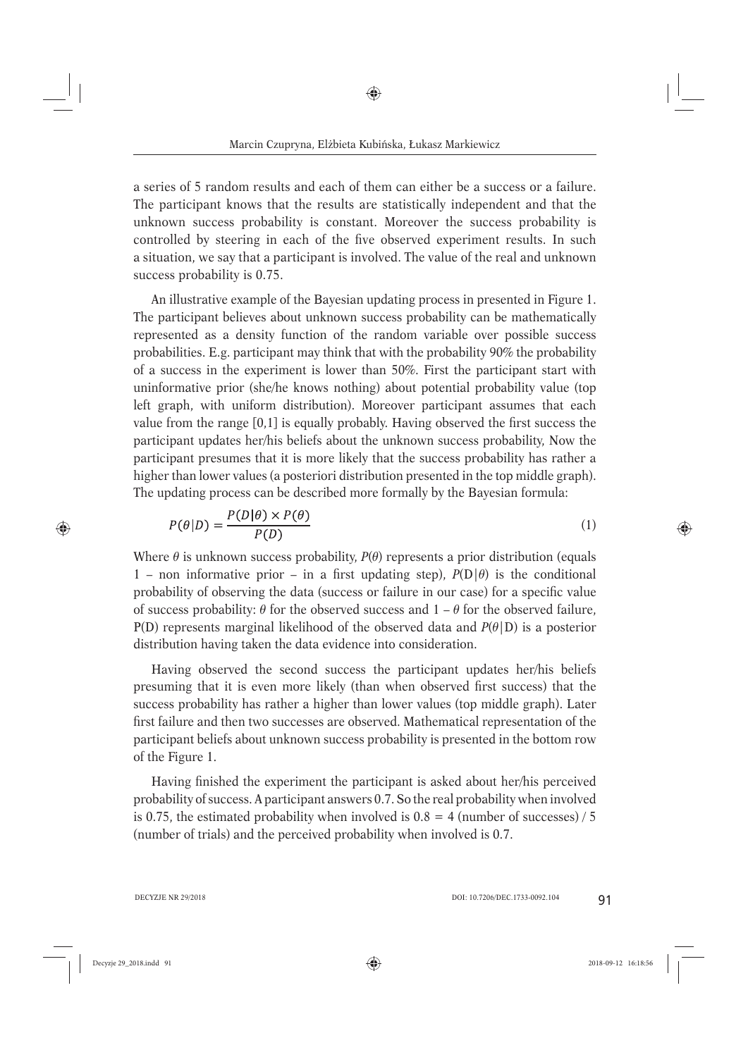a series of 5 random results and each of them can either be a success or a failure. The participant knows that the results are statistically independent and that the unknown success probability is constant. Moreover the success probability is controlled by steering in each of the five observed experiment results. In such a situation, we say that a participant is involved. The value of the real and unknown success probability is 0.75.

An illustrative example of the Bayesian updating process in presented in Figure 1. The participant believes about unknown success probability can be mathematically represented as a density function of the random variable over possible success probabilities. E.g. participant may think that with the probability 90% the probability of a success in the experiment is lower than 50%. First the participant start with uninformative prior (she/he knows nothing) about potential probability value (top left graph, with uniform distribution). Moreover participant assumes that each value from the range  $[0,1]$  is equally probably. Having observed the first success the participant updates her/his beliefs about the unknown success probability, Now the participant presumes that it is more likely that the success probability has rather a higher than lower values (a posteriori distribution presented in the top middle graph). The updating process can be described more formally by the Bayesian formula:

$$
P(\theta|D) = \frac{P(D|\theta) \times P(\theta)}{P(D)}\tag{1}
$$

Where  $\theta$  is unknown success probability,  $P(\theta)$  represents a prior distribution (equals 1 – non informative prior – in a first updating step),  $P(D|\theta)$  is the conditional probability of observing the data (success or failure in our case) for a specific value of success probability:  $\theta$  for the observed success and  $1 - \theta$  for the observed failure,  $P(D)$  represents marginal likelihood of the observed data and  $P(\theta|D)$  is a posterior distribution having taken the data evidence into consideration.

Having observed the second success the participant updates her/his beliefs presuming that it is even more likely (than when observed first success) that the success probability has rather a higher than lower values (top middle graph). Later first failure and then two successes are observed. Mathematical representation of the participant beliefs about unknown success probability is presented in the bottom row of the Figure 1.

Having finished the experiment the participant is asked about her/his perceived probability of success. A participant answers 0.7. So the real probability when involved is 0.75, the estimated probability when involved is  $0.8 = 4$  (number of successes) / 5 (number of trials) and the perceived probability when involved is 0.7.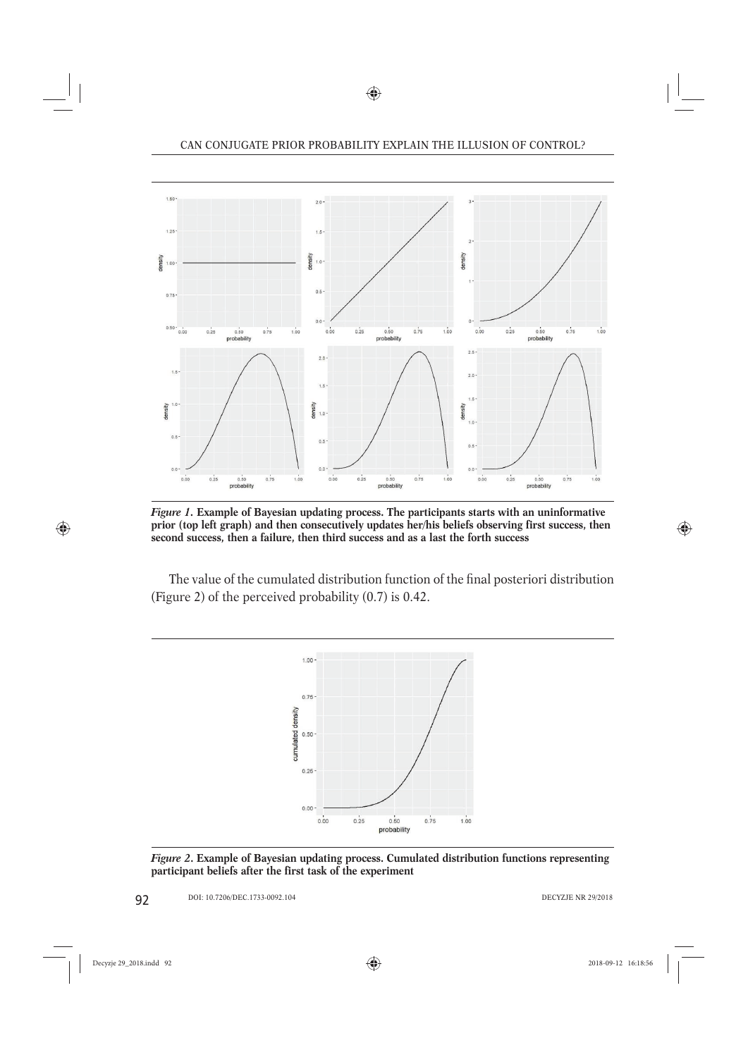

*Figure 1.* **Example of Bayesian updating process. The participants starts with an uninformative prior (top left graph) and then consecutively updates her/his beliefs observing first success, then second success, then a failure, then third success and as a last the forth success**

The value of the cumulated distribution function of the final posteriori distribution (Figure 2) of the perceived probability (0.7) is 0.42.



*Figure 2***. Example of Bayesian updating process. Cumulated distribution functions representing participant beliefs after the first task of the experiment**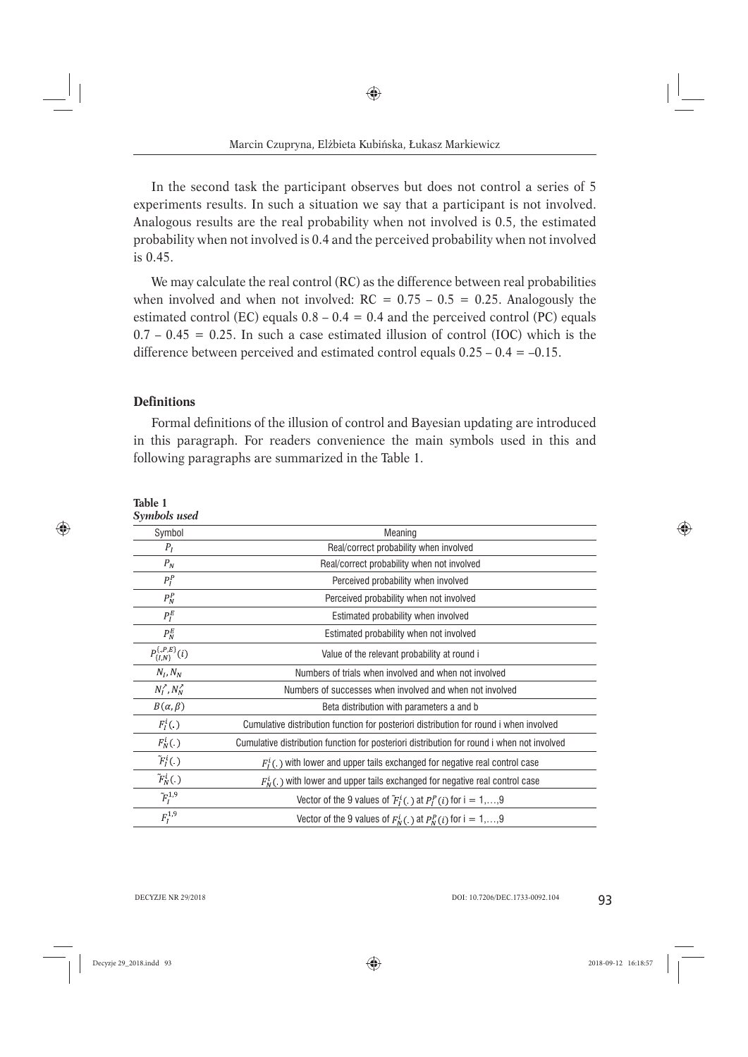In the second task the participant observes but does not control a series of 5 experiments results. In such a situation we say that a participant is not involved. Analogous results are the real probability when not involved is 0.5, the estimated probability when not involved is 0.4 and the perceived probability when not involved is 0.45.

We may calculate the real control (RC) as the difference between real probabilities when involved and when not involved:  $RC = 0.75 - 0.5 = 0.25$ . Analogously the estimated control (EC) equals  $0.8 - 0.4 = 0.4$  and the perceived control (PC) equals  $0.7 - 0.45 = 0.25$ . In such a case estimated illusion of control (IOC) which is the difference between perceived and estimated control equals  $0.25 - 0.4 = -0.15$ .

## **Definitions**

**Table 1**

Formal definitions of the illusion of control and Bayesian updating are introduced in this paragraph. For readers convenience the main symbols used in this and following paragraphs are summarized in the Table 1.

| Table 1<br>Symbols used                 |                                                                                            |
|-----------------------------------------|--------------------------------------------------------------------------------------------|
| Symbol                                  | Meaning                                                                                    |
| $P_I$                                   | Real/correct probability when involved                                                     |
| $P_N$                                   | Real/correct probability when not involved                                                 |
| $P_I^P$                                 | Perceived probability when involved                                                        |
| $P_N^P$                                 | Perceived probability when not involved                                                    |
| $P_I^E$                                 | Estimated probability when involved                                                        |
| $P_N^E$                                 | Estimated probability when not involved                                                    |
| $P_{\{I,N\}}^{\{, P, E\}}(i)$           | Value of the relevant probability at round i                                               |
| $N_I, N_N$                              | Numbers of trials when involved and when not involved                                      |
| $N_I^{\,\,\prime}$ , $N_N^{\,\,\prime}$ | Numbers of successes when involved and when not involved                                   |
| $B(\alpha,\beta)$                       | Beta distribution with parameters a and b                                                  |
| $F_l^i(.)$                              | Cumulative distribution function for posteriori distribution for round i when involved     |
| $F_N^i(.)$                              | Cumulative distribution function for posteriori distribution for round i when not involved |
| $\tilde{F}_I^i(.)$                      | $F_i^i$ ( ) with lower and upper tails exchanged for negative real control case            |
| $\tilde{F}_N^i(.)$                      | $F_N^i(.)$ with lower and upper tails exchanged for negative real control case             |
| $\tilde{F}_{I}^{1,9}$                   | Vector of the 9 values of $\tilde{F}_I^i(.)$ at $P_I^P(i)$ for $i = 1,,9$                  |
| $F_I^{1,9}$                             | Vector of the 9 values of $F_N^i(.)$ at $P_N^P(i)$ for $i = 1,,9$                          |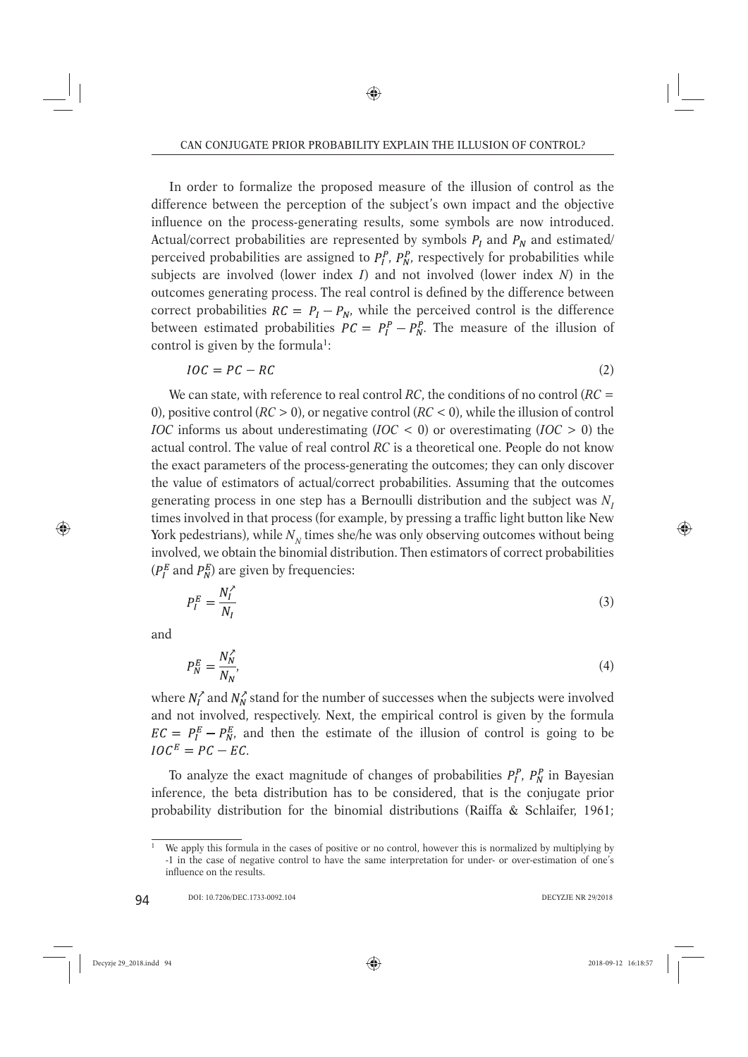In order to formalize the proposed measure of the illusion of control as the difference between the perception of the subject's own impact and the objective influence on the process-generating results, some symbols are now introduced. Actual/correct probabilities are represented by symbols  $P_I$  and  $P_N$  and estimated/ perceived probabilities are assigned to  $P_l^P$ ,  $P_N^P$ , respectively for probabilities while subjects are involved (lower index *I*) and not involved (lower index *N*) in the outcomes generating process. The real control is defined by the difference between correct probabilities  $RC = P_I - P_N$ , while the perceived control is the difference between estimated probabilities  $PC = P_I^P - P_N^P$ . The measure of the illusion of control is given by the formula<sup>1</sup>:

$$
IOC = PC - RC
$$
 (2)

We can state, with reference to real control *RC*, the conditions of no control (*RC* = 0), positive control (*RC* > 0), or negative control (*RC* < 0), while the illusion of control *IOC* informs us about underestimating (*IOC* < 0) or overestimating (*IOC* > 0) the actual control. The value of real control *RC* is a theoretical one. People do not know the exact parameters of the process-generating the outcomes; they can only discover the value of estimators of actual/correct probabilities. Assuming that the outcomes generating process in one step has a Bernoulli distribution and the subject was *NI* times involved in that process (for example, by pressing a traffic light button like New York pedestrians), while  $N<sub>N</sub>$  times she/he was only observing outcomes without being involved, we obtain the binomial distribution. Then estimators of correct probabilities  $(P_I^E \text{ and } P_N^E)$  are given by frequencies:

$$
P_I^E = \frac{N_I^2}{N_I} \tag{3}
$$

and

$$
P_N^E = \frac{N_N^2}{N_N},\tag{4}
$$

where  $N_t^{\gamma}$  and  $N_w^{\gamma}$  stand for the number of successes when the subjects were involved and not involved, respectively. Next, the empirical control is given by the formula  $EC = P_I^E - P_N^E$ , and then the estimate of the illusion of control is going to be  $IOC<sup>E</sup> = PC - EC.$ 

To analyze the exact magnitude of changes of probabilities  $P_l^P$ ,  $P_N^P$  in Bayesian inference, the beta distribution has to be considered, that is the conjugate prior probability distribution for the binomial distributions (Raiffa & Schlaifer, 1961;

<sup>&</sup>lt;sup>1</sup> We apply this formula in the cases of positive or no control, however this is normalized by multiplying by -1 in the case of negative control to have the same interpretation for under- or over-estimation of one's influence on the results.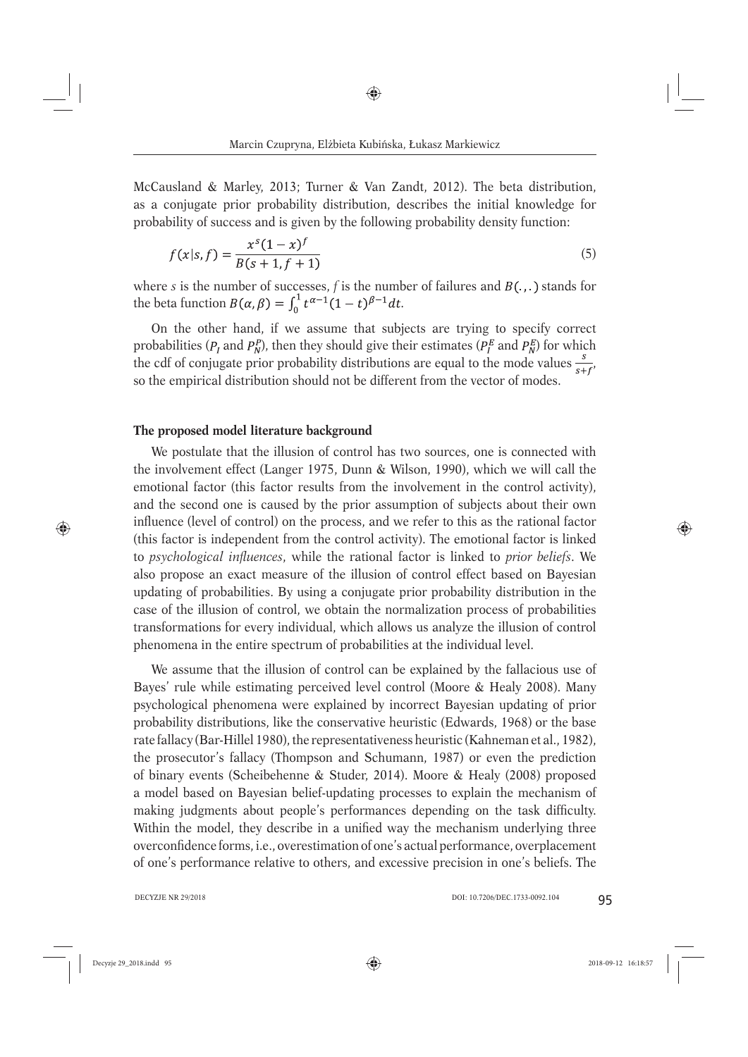McCausland & Marley, 2013; Turner & Van Zandt, 2012). The beta distribution, as a conjugate prior probability distribution, describes the initial knowledge for probability of success and is given by the following probability density function:

$$
f(x|s,f) = \frac{x^s(1-x)^f}{B(s+1,f+1)}
$$
\n(5)

where *s* is the number of successes,  $f$  is the number of failures and  $B(.,.)$  stands for the beta function  $B(\alpha, \beta) = \int_0^1 t^{\alpha-1} (1-t)^{\beta-1} dt$ .

On the other hand, if we assume that subjects are trying to specify correct probabilities ( $P_I$  and  $P_N^P$ ), then they should give their estimates ( $P_I^E$  and  $P_N^E$ ) for which the cdf of conjugate prior probability distributions are equal to the mode values  $\frac{s}{s+t'}$ so the empirical distribution should not be different from the vector of modes.

#### **The proposed model literature background**

We postulate that the illusion of control has two sources, one is connected with the involvement effect (Langer 1975, Dunn & Wilson, 1990), which we will call the emotional factor (this factor results from the involvement in the control activity), and the second one is caused by the prior assumption of subjects about their own influence (level of control) on the process, and we refer to this as the rational factor (this factor is independent from the control activity). The emotional factor is linked to *psychological infl uences*, while the rational factor is linked to *prior beliefs*. We also propose an exact measure of the illusion of control effect based on Bayesian updating of probabilities. By using a conjugate prior probability distribution in the case of the illusion of control, we obtain the normalization process of probabilities transformations for every individual, which allows us analyze the illusion of control phenomena in the entire spectrum of probabilities at the individual level.

We assume that the illusion of control can be explained by the fallacious use of Bayes' rule while estimating perceived level control (Moore & Healy 2008). Many psychological phenomena were explained by incorrect Bayesian updating of prior probability distributions, like the conservative heuristic (Edwards, 1968) or the base rate fallacy (Bar-Hillel 1980), the representativeness heuristic (Kahneman et al., 1982), the prosecutor's fallacy (Thompson and Schumann, 1987) or even the prediction of binary events (Scheibehenne & Studer, 2014). Moore & Healy (2008) proposed a model based on Bayesian belief-updating processes to explain the mechanism of making judgments about people's performances depending on the task difficulty. Within the model, they describe in a unified way the mechanism underlying three overconfidence forms, i.e., overestimation of one's actual performance, overplacement of one's performance relative to others, and excessive precision in one's beliefs. The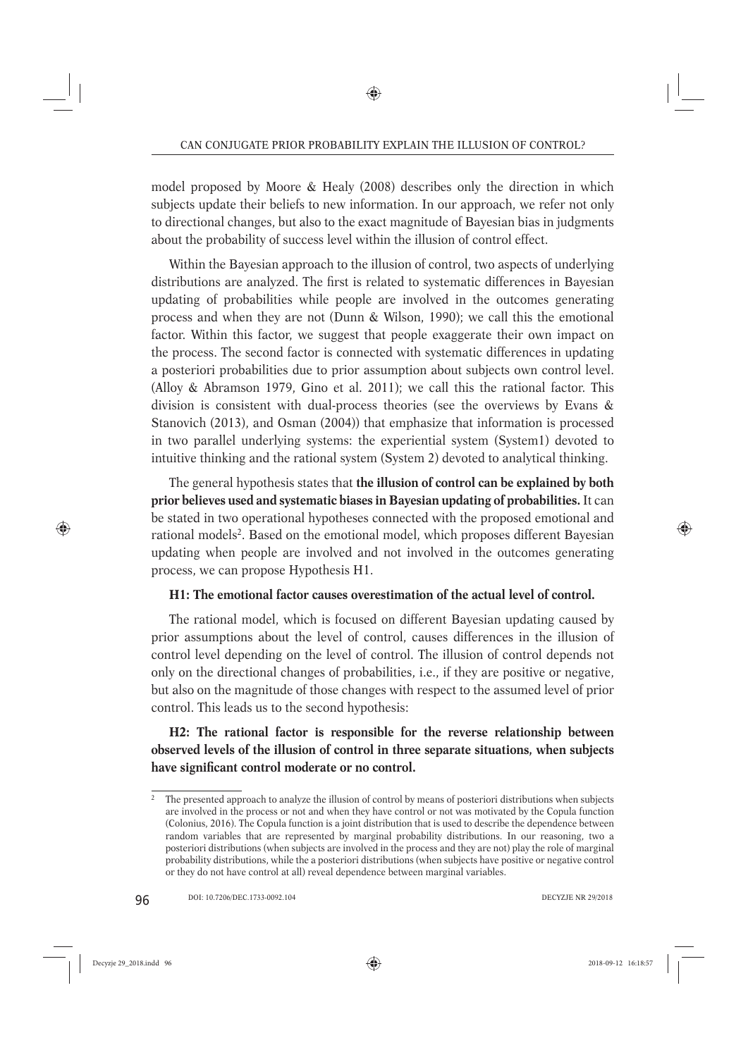model proposed by Moore & Healy (2008) describes only the direction in which subjects update their beliefs to new information. In our approach, we refer not only to directional changes, but also to the exact magnitude of Bayesian bias in judgments about the probability of success level within the illusion of control effect.

Within the Bayesian approach to the illusion of control, two aspects of underlying distributions are analyzed. The first is related to systematic differences in Bayesian updating of probabilities while people are involved in the outcomes generating process and when they are not (Dunn & Wilson, 1990); we call this the emotional factor. Within this factor, we suggest that people exaggerate their own impact on the process. The second factor is connected with systematic differences in updating a posteriori probabilities due to prior assumption about subjects own control level. (Alloy & Abramson 1979, Gino et al. 2011); we call this the rational factor. This division is consistent with dual-process theories (see the overviews by Evans & Stanovich (2013), and Osman (2004)) that emphasize that information is processed in two parallel underlying systems: the experiential system (System1) devoted to intuitive thinking and the rational system (System 2) devoted to analytical thinking.

The general hypothesis states that **the illusion of control can be explained by both prior believes used and systematic biases in Bayesian updating of probabilities.** It can be stated in two operational hypotheses connected with the proposed emotional and rational models<sup>2</sup>. Based on the emotional model, which proposes different Bayesian updating when people are involved and not involved in the outcomes generating process, we can propose Hypothesis H1.

# **H1: The emotional factor causes overestimation of the actual level of control.**

The rational model, which is focused on different Bayesian updating caused by prior assumptions about the level of control, causes differences in the illusion of control level depending on the level of control. The illusion of control depends not only on the directional changes of probabilities, i.e., if they are positive or negative, but also on the magnitude of those changes with respect to the assumed level of prior control. This leads us to the second hypothesis:

**H2: The rational factor is responsible for the reverse relationship between observed levels of the illusion of control in three separate situations, when subjects**  have significant control moderate or no control.

<sup>&</sup>lt;sup>2</sup> The presented approach to analyze the illusion of control by means of posteriori distributions when subjects are involved in the process or not and when they have control or not was motivated by the Copula function (Colonius, 2016). The Copula function is a joint distribution that is used to describe the dependence between random variables that are represented by marginal probability distributions. In our reasoning, two a posteriori distributions (when subjects are involved in the process and they are not) play the role of marginal probability distributions, while the a posteriori distributions (when subjects have positive or negative control or they do not have control at all) reveal dependence between marginal variables.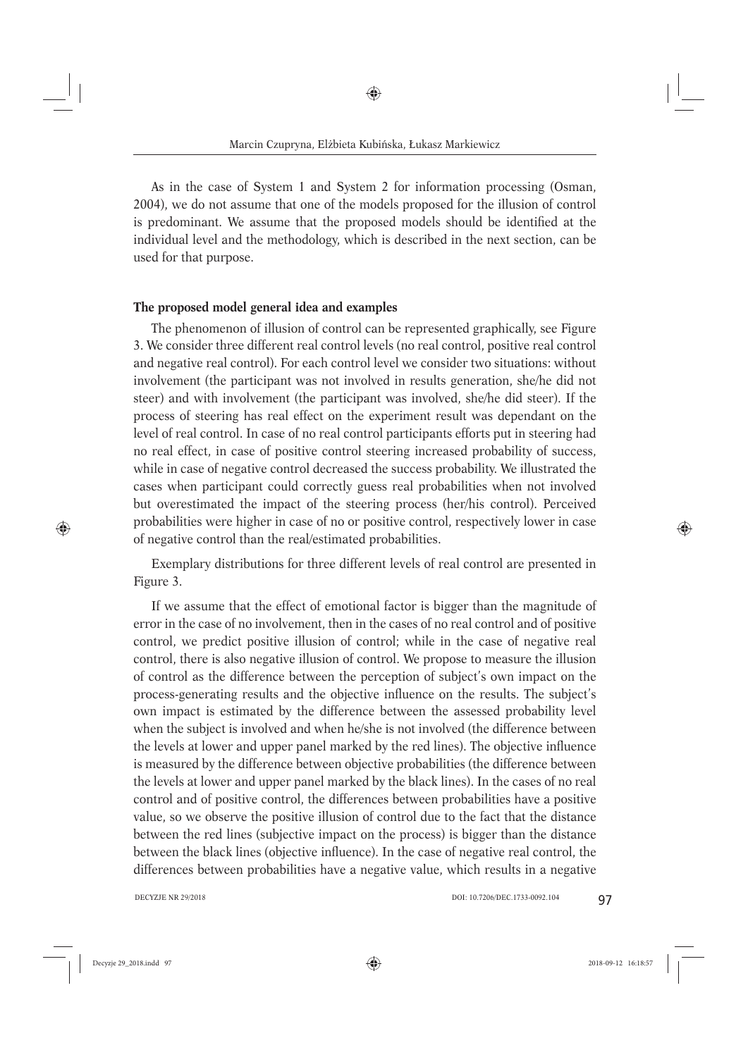As in the case of System 1 and System 2 for information processing (Osman, 2004), we do not assume that one of the models proposed for the illusion of control is predominant. We assume that the proposed models should be identified at the individual level and the methodology, which is described in the next section, can be used for that purpose.

## **The proposed model general idea and examples**

The phenomenon of illusion of control can be represented graphically, see Figure 3. We consider three different real control levels (no real control, positive real control and negative real control). For each control level we consider two situations: without involvement (the participant was not involved in results generation, she/he did not steer) and with involvement (the participant was involved, she/he did steer). If the process of steering has real effect on the experiment result was dependant on the level of real control. In case of no real control participants efforts put in steering had no real effect, in case of positive control steering increased probability of success, while in case of negative control decreased the success probability. We illustrated the cases when participant could correctly guess real probabilities when not involved but overestimated the impact of the steering process (her/his control). Perceived probabilities were higher in case of no or positive control, respectively lower in case of negative control than the real/estimated probabilities.

Exemplary distributions for three different levels of real control are presented in Figure 3.

If we assume that the effect of emotional factor is bigger than the magnitude of error in the case of no involvement, then in the cases of no real control and of positive control, we predict positive illusion of control; while in the case of negative real control, there is also negative illusion of control. We propose to measure the illusion of control as the difference between the perception of subject's own impact on the process-generating results and the objective influence on the results. The subject's own impact is estimated by the difference between the assessed probability level when the subject is involved and when he/she is not involved (the difference between the levels at lower and upper panel marked by the red lines). The objective influence is measured by the difference between objective probabilities (the difference between the levels at lower and upper panel marked by the black lines). In the cases of no real control and of positive control, the differences between probabilities have a positive value, so we observe the positive illusion of control due to the fact that the distance between the red lines (subjective impact on the process) is bigger than the distance between the black lines (objective influence). In the case of negative real control, the differences between probabilities have a negative value, which results in a negative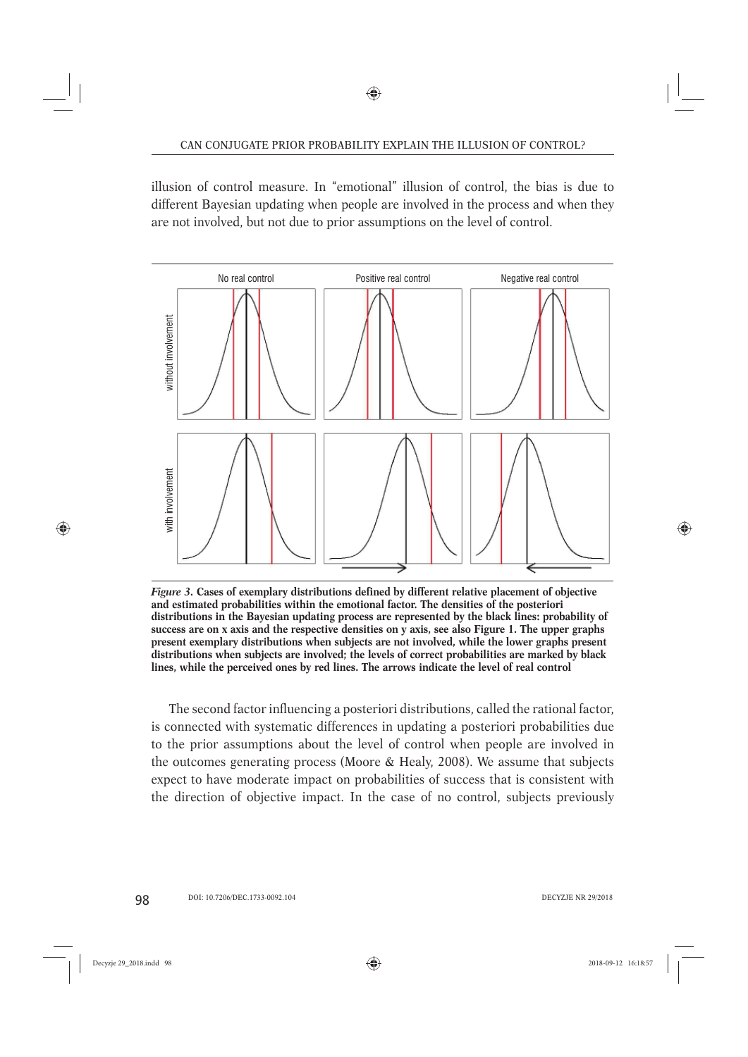illusion of control measure. In "emotional" illusion of control, the bias is due to different Bayesian updating when people are involved in the process and when they are not involved, but not due to prior assumptions on the level of control.



*Figure 3.* **Cases of exemplary distributions defined by different relative placement of objective and estimated probabilities within the emotional factor. The densities of the posteriori distributions in the Bayesian updating process are represented by the black lines: probability of success are on x axis and the respective densities on y axis, see also Figure 1. The upper graphs present exemplary distributions when subjects are not involved, while the lower graphs present distributions when subjects are involved; the levels of correct probabilities are marked by black lines, while the perceived ones by red lines. The arrows indicate the level of real control**

The second factor influencing a posteriori distributions, called the rational factor, is connected with systematic differences in updating a posteriori probabilities due to the prior assumptions about the level of control when people are involved in the outcomes generating process (Moore & Healy, 2008). We assume that subjects expect to have moderate impact on probabilities of success that is consistent with the direction of objective impact. In the case of no control, subjects previously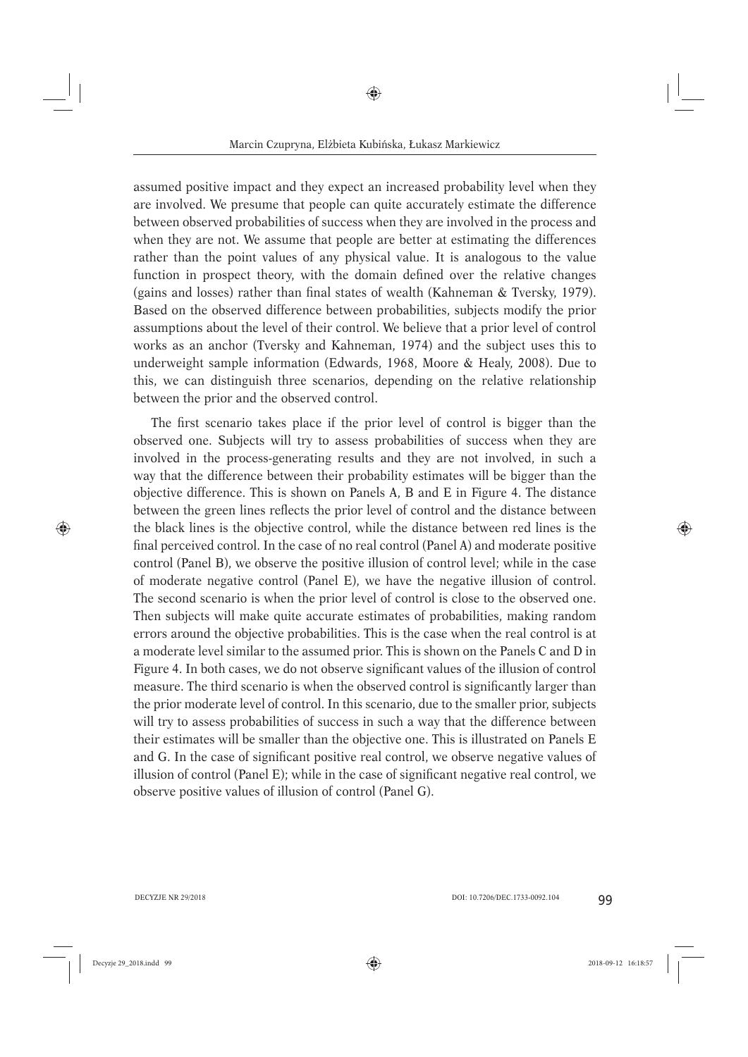assumed positive impact and they expect an increased probability level when they are involved. We presume that people can quite accurately estimate the difference between observed probabilities of success when they are involved in the process and when they are not. We assume that people are better at estimating the differences rather than the point values of any physical value. It is analogous to the value function in prospect theory, with the domain defined over the relative changes (gains and losses) rather than final states of wealth (Kahneman  $&$  Tversky, 1979). Based on the observed difference between probabilities, subjects modify the prior assumptions about the level of their control. We believe that a prior level of control works as an anchor (Tversky and Kahneman, 1974) and the subject uses this to underweight sample information (Edwards, 1968, Moore & Healy, 2008). Due to this, we can distinguish three scenarios, depending on the relative relationship between the prior and the observed control.

The first scenario takes place if the prior level of control is bigger than the observed one. Subjects will try to assess probabilities of success when they are involved in the process-generating results and they are not involved, in such a way that the difference between their probability estimates will be bigger than the objective difference. This is shown on Panels A, B and E in Figure 4. The distance between the green lines reflects the prior level of control and the distance between the black lines is the objective control, while the distance between red lines is the final perceived control. In the case of no real control (Panel A) and moderate positive control (Panel B), we observe the positive illusion of control level; while in the case of moderate negative control (Panel E), we have the negative illusion of control. The second scenario is when the prior level of control is close to the observed one. Then subjects will make quite accurate estimates of probabilities, making random errors around the objective probabilities. This is the case when the real control is at a moderate level similar to the assumed prior. This is shown on the Panels C and D in Figure 4. In both cases, we do not observe significant values of the illusion of control measure. The third scenario is when the observed control is significantly larger than the prior moderate level of control. In this scenario, due to the smaller prior, subjects will try to assess probabilities of success in such a way that the difference between their estimates will be smaller than the objective one. This is illustrated on Panels E and G. In the case of significant positive real control, we observe negative values of illusion of control (Panel E); while in the case of significant negative real control, we observe positive values of illusion of control (Panel G).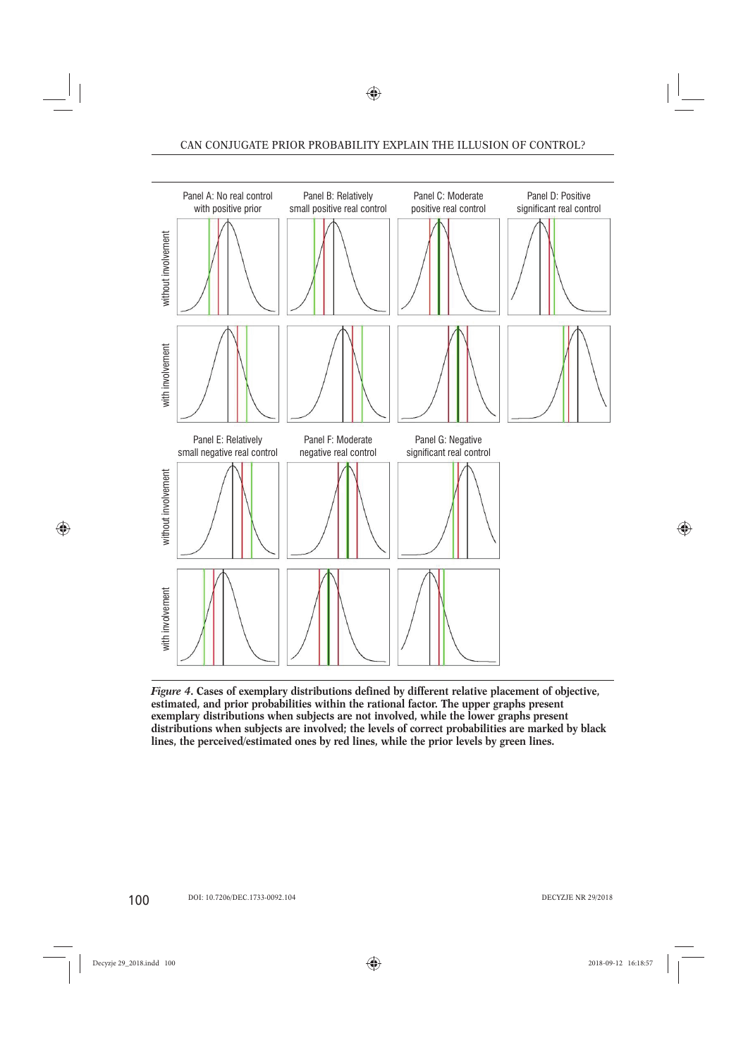

*Figure 4***. Cases of exemplary distributions defined by different relative placement of objective, estimated, and prior probabilities within the rational factor. The upper graphs present exemplary distributions when subjects are not involved, while the lower graphs present distributions when subjects are involved; the levels of correct probabilities are marked by black lines, the perceived/estimated ones by red lines, while the prior levels by green lines.**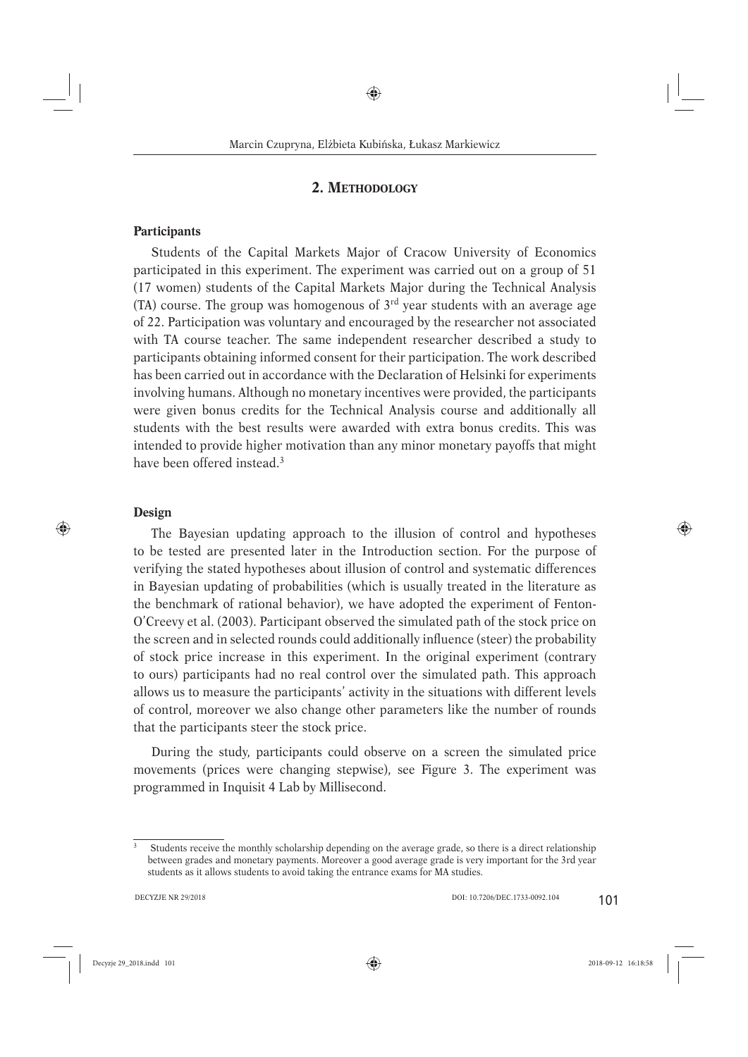## **2. METHODOLOGY**

#### **Participants**

Students of the Capital Markets Major of Cracow University of Economics participated in this experiment. The experiment was carried out on a group of 51 (17 women) students of the Capital Markets Major during the Technical Analysis (TA) course. The group was homogenous of  $3<sup>rd</sup>$  year students with an average age of 22. Participation was voluntary and encouraged by the researcher not associated with TA course teacher. The same independent researcher described a study to participants obtaining informed consent for their participation. The work described has been carried out in accordance with the Declaration of Helsinki for experiments involving humans. Although no monetary incentives were provided, the participants were given bonus credits for the Technical Analysis course and additionally all students with the best results were awarded with extra bonus credits. This was intended to provide higher motivation than any minor monetary payoffs that might have been offered instead.3

## **Design**

The Bayesian updating approach to the illusion of control and hypotheses to be tested are presented later in the Introduction section. For the purpose of verifying the stated hypotheses about illusion of control and systematic differences in Bayesian updating of probabilities (which is usually treated in the literature as the benchmark of rational behavior), we have adopted the experiment of Fenton-O'Creevy et al. (2003). Participant observed the simulated path of the stock price on the screen and in selected rounds could additionally influence (steer) the probability of stock price increase in this experiment. In the original experiment (contrary to ours) participants had no real control over the simulated path. This approach allows us to measure the participants' activity in the situations with different levels of control, moreover we also change other parameters like the number of rounds that the participants steer the stock price.

During the study, participants could observe on a screen the simulated price movements (prices were changing stepwise), see Figure 3. The experiment was programmed in Inquisit 4 Lab by Millisecond.

<sup>&</sup>lt;sup>3</sup> Students receive the monthly scholarship depending on the average grade, so there is a direct relationship between grades and monetary payments. Moreover a good average grade is very important for the 3rd year students as it allows students to avoid taking the entrance exams for MA studies.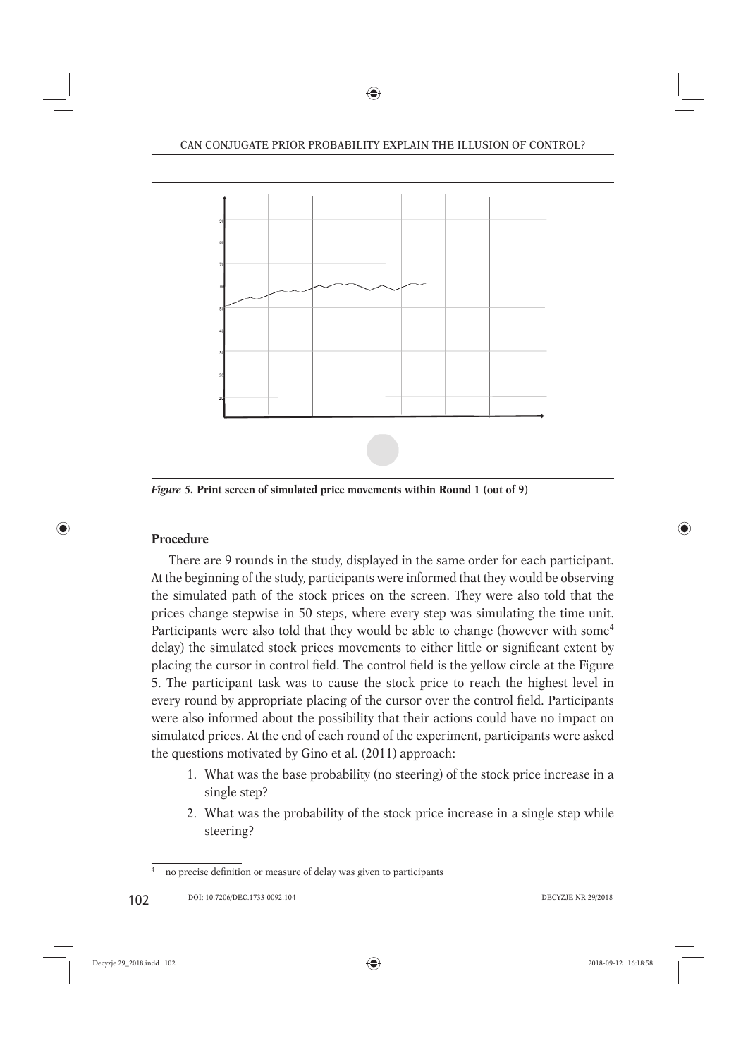

*Figure 5.* **Print screen of simulated price movements within Round 1 (out of 9)**

# **Procedure**

There are 9 rounds in the study, displayed in the same order for each participant. At the beginning of the study, participants were informed that they would be observing the simulated path of the stock prices on the screen. They were also told that the prices change stepwise in 50 steps, where every step was simulating the time unit. Participants were also told that they would be able to change (however with some<sup>4</sup>) delay) the simulated stock prices movements to either little or significant extent by placing the cursor in control field. The control field is the yellow circle at the Figure 5. The participant task was to cause the stock price to reach the highest level in every round by appropriate placing of the cursor over the control field. Participants were also informed about the possibility that their actions could have no impact on simulated prices. At the end of each round of the experiment, participants were asked the questions motivated by Gino et al. (2011) approach:

- 1. What was the base probability (no steering) of the stock price increase in a single step?
- 2. What was the probability of the stock price increase in a single step while steering?

no precise definition or measure of delay was given to participants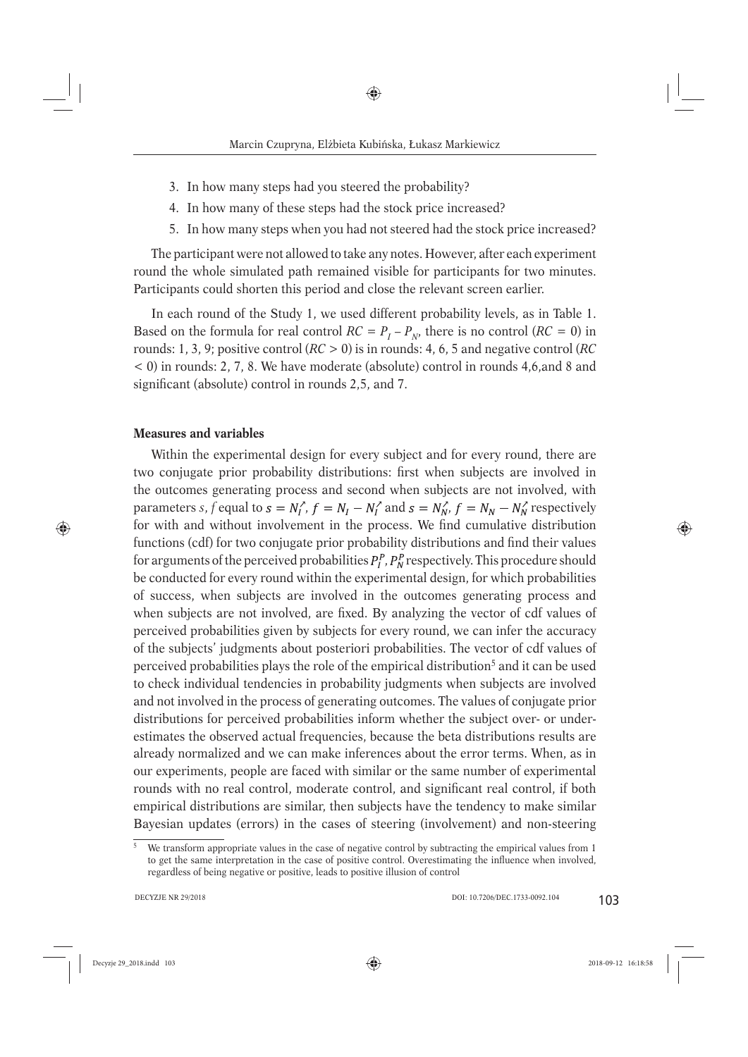- 3. In how many steps had you steered the probability?
- 4. In how many of these steps had the stock price increased?
- 5. In how many steps when you had not steered had the stock price increased?

The participant were not allowed to take any notes. However, after each experiment round the whole simulated path remained visible for participants for two minutes. Participants could shorten this period and close the relevant screen earlier.

In each round of the Study 1, we used different probability levels, as in Table 1. Based on the formula for real control  $RC = P_I - P_N$ , there is no control  $(RC = 0)$  in rounds: 1, 3, 9; positive control (*RC* > 0) is in rounds: 4, 6, 5 and negative control (*RC* < 0) in rounds: 2, 7, 8. We have moderate (absolute) control in rounds 4,6,and 8 and significant (absolute) control in rounds 2,5, and 7.

## **Measures and variables**

Within the experimental design for every subject and for every round, there are two conjugate prior probability distributions: first when subjects are involved in the outcomes generating process and second when subjects are not involved, with parameters *s*, *f* equal to  $s = N_t^{\gamma}$ ,  $f = N_t - N_t^{\gamma}$  and  $s = N_N^{\gamma}$ ,  $f = N_N - N_N^{\gamma}$  respectively for with and without involvement in the process. We find cumulative distribution functions (cdf) for two conjugate prior probability distributions and find their values for arguments of the perceived probabilities  $P_l^P$ ,  $P_N^P$  respectively. This procedure should be conducted for every round within the experimental design, for which probabilities of success, when subjects are involved in the outcomes generating process and when subjects are not involved, are fixed. By analyzing the vector of cdf values of perceived probabilities given by subjects for every round, we can infer the accuracy of the subjects' judgments about posteriori probabilities. The vector of cdf values of perceived probabilities plays the role of the empirical distribution<sup>5</sup> and it can be used to check individual tendencies in probability judgments when subjects are involved and not involved in the process of generating outcomes. The values of conjugate prior distributions for perceived probabilities inform whether the subject over- or underestimates the observed actual frequencies, because the beta distributions results are already normalized and we can make inferences about the error terms. When, as in our experiments, people are faced with similar or the same number of experimental rounds with no real control, moderate control, and significant real control, if both empirical distributions are similar, then subjects have the tendency to make similar Bayesian updates (errors) in the cases of steering (involvement) and non-steering

 $\frac{1}{5}$  We transform appropriate values in the case of negative control by subtracting the empirical values from 1 to get the same interpretation in the case of positive control. Overestimating the influence when involved, regardless of being negative or positive, leads to positive illusion of control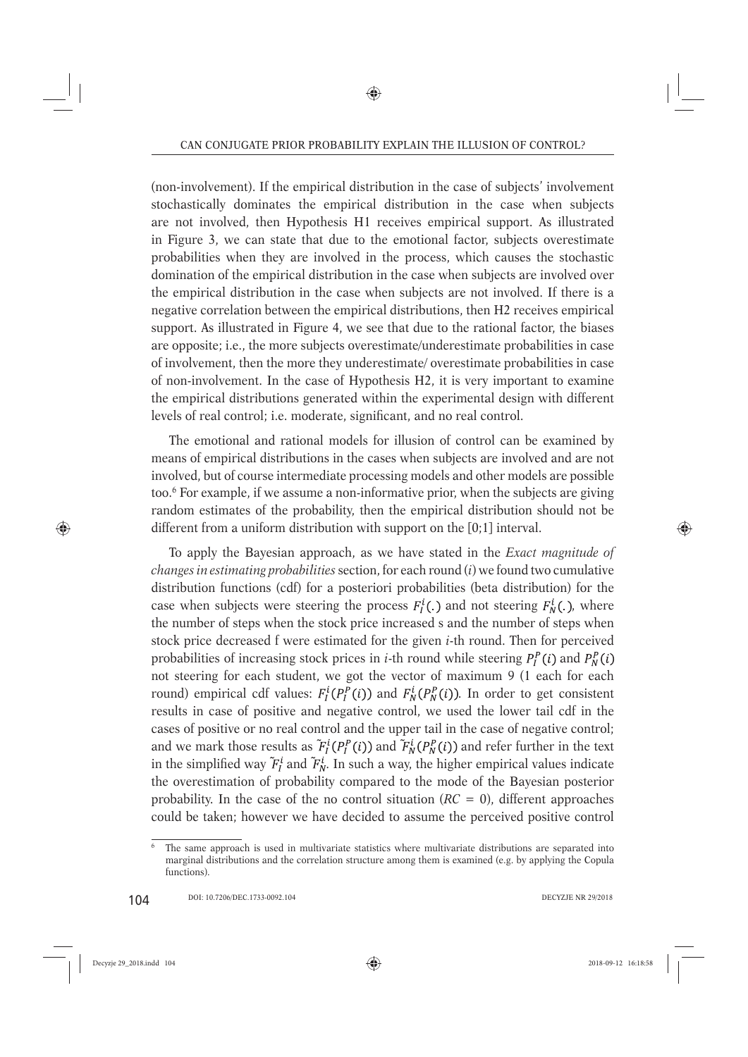(non-involvement). If the empirical distribution in the case of subjects' involvement stochastically dominates the empirical distribution in the case when subjects are not involved, then Hypothesis H1 receives empirical support. As illustrated in Figure 3, we can state that due to the emotional factor, subjects overestimate probabilities when they are involved in the process, which causes the stochastic domination of the empirical distribution in the case when subjects are involved over the empirical distribution in the case when subjects are not involved. If there is a negative correlation between the empirical distributions, then H2 receives empirical support. As illustrated in Figure 4, we see that due to the rational factor, the biases are opposite; i.e., the more subjects overestimate/underestimate probabilities in case of involvement, then the more they underestimate/ overestimate probabilities in case of non-involvement. In the case of Hypothesis H2, it is very important to examine the empirical distributions generated within the experimental design with different levels of real control; i.e. moderate, significant, and no real control.

The emotional and rational models for illusion of control can be examined by means of empirical distributions in the cases when subjects are involved and are not involved, but of course intermediate processing models and other models are possible too.6 For example, if we assume a non-informative prior, when the subjects are giving random estimates of the probability, then the empirical distribution should not be different from a uniform distribution with support on the [0;1] interval.

To apply the Bayesian approach, as we have stated in the *Exact magnitude of changes in estimating probabilities* section, for each round (*i*) we found two cumulative distribution functions (cdf) for a posteriori probabilities (beta distribution) for the case when subjects were steering the process  $F_l^i(.)$  and not steering  $F_N^i(.)$ , where the number of steps when the stock price increased s and the number of steps when stock price decreased f were estimated for the given *i*-th round. Then for perceived probabilities of increasing stock prices in *i*-th round while steering  $P_l^P(i)$  and  $P_N^P(i)$ not steering for each student, we got the vector of maximum 9 (1 each for each round) empirical cdf values:  $F_I^i(P_I^P(i))$  and  $F_N^i(P_N^P(i))$ . In order to get consistent results in case of positive and negative control, we used the lower tail cdf in the cases of positive or no real control and the upper tail in the case of negative control; and we mark those results as  $\tilde{F}_I^i(P_I^P(i))$  and  $\tilde{F}_N^i(P_N^P(i))$  and refer further in the text in the simplified way  $F_l^i$  and  $F_N^i$ . In such a way, the higher empirical values indicate the overestimation of probability compared to the mode of the Bayesian posterior probability. In the case of the no control situation  $(RC = 0)$ , different approaches could be taken; however we have decided to assume the perceived positive control

The same approach is used in multivariate statistics where multivariate distributions are separated into marginal distributions and the correlation structure among them is examined (e.g. by applying the Copula functions).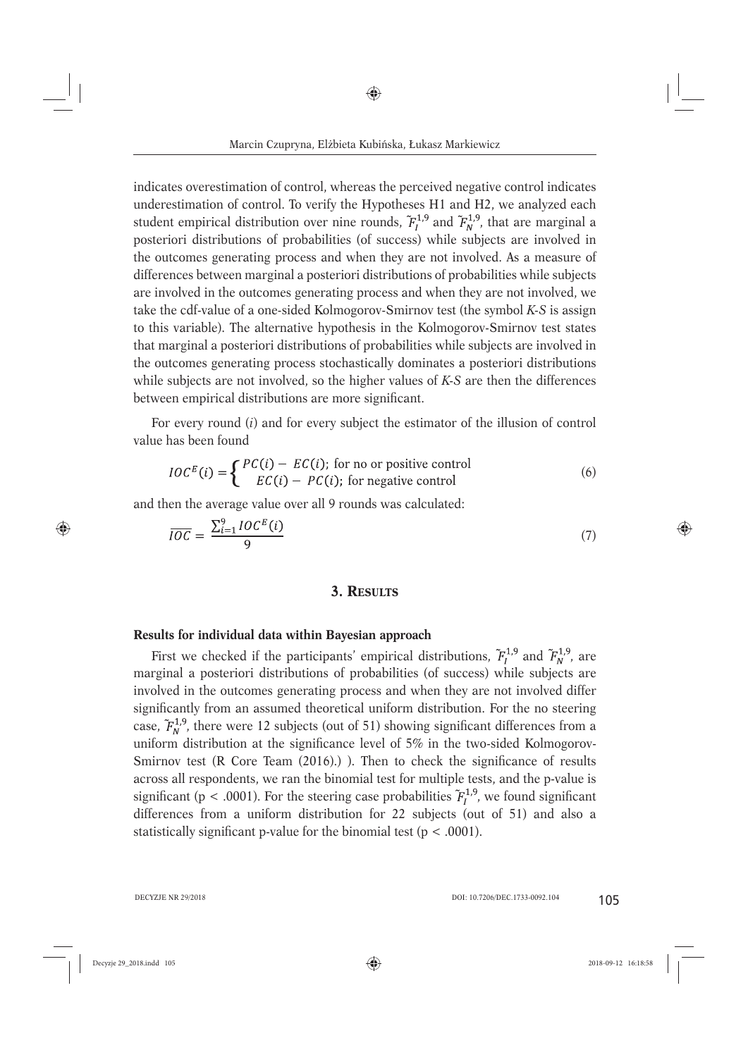indicates overestimation of control, whereas the perceived negative control indicates underestimation of control. To verify the Hypotheses H1 and H2, we analyzed each student empirical distribution over nine rounds,  $\tilde{F}_{I}^{1,9}$  and  $\tilde{F}_{N}^{1,9}$ , that are marginal a posteriori distributions of probabilities (of success) while subjects are involved in the outcomes generating process and when they are not involved. As a measure of differences between marginal a posteriori distributions of probabilities while subjects are involved in the outcomes generating process and when they are not involved, we take the cdf-value of a one-sided Kolmogorov-Smirnov test (the symbol *K-S* is assign to this variable). The alternative hypothesis in the Kolmogorov-Smirnov test states that marginal a posteriori distributions of probabilities while subjects are involved in the outcomes generating process stochastically dominates a posteriori distributions while subjects are not involved, so the higher values of *K-S* are then the differences between empirical distributions are more significant.

For every round (*i*) and for every subject the estimator of the illusion of control value has been found

$$
IOCE(i) = \begin{cases} PC(i) - EC(i); \text{ for no or positive control} \\ EC(i) - PC(i); \text{ for negative control} \end{cases}
$$
 (6)

and then the average value over all 9 rounds was calculated:

$$
\overline{IOC} = \frac{\sum_{i=1}^{9} IOC^{E}(i)}{9}
$$
\n<sup>(7)</sup>

#### **3. RESULTS**

#### **Results for individual data within Bayesian approach**

First we checked if the participants' empirical distributions,  $F_l^{1,9}$  and  $F_N^{1,9}$ , are marginal a posteriori distributions of probabilities (of success) while subjects are involved in the outcomes generating process and when they are not involved differ significantly from an assumed theoretical uniform distribution. For the no steering case,  $F_N^{1,9}$ , there were 12 subjects (out of 51) showing significant differences from a uniform distribution at the significance level of  $5\%$  in the two-sided Kolmogorov-Smirnov test (R Core Team  $(2016)$ .) ). Then to check the significance of results across all respondents, we ran the binomial test for multiple tests, and the p-value is significant (p < .0001). For the steering case probabilities  $\tilde{F}_{I}^{1,9}$ , we found significant differences from a uniform distribution for 22 subjects (out of 51) and also a statistically significant p-value for the binomial test ( $p < .0001$ ).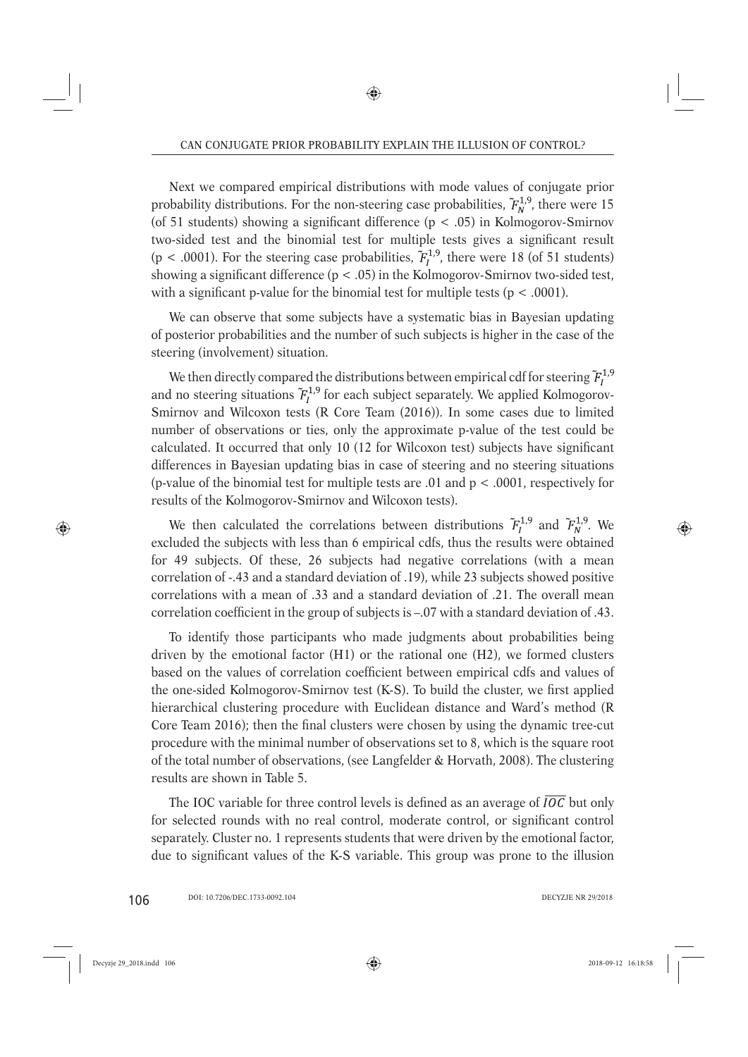Next we compared empirical distributions with mode values of conjugate prior probability distributions. For the non-steering case probabilities,  $\tilde{F}_{N}^{1,9}$ , there were 15 (of 51 students) showing a significant difference ( $p < .05$ ) in Kolmogorov-Smirnov two-sided test and the binomial test for multiple tests gives a significant result (p < .0001). For the steering case probabilities,  $\tilde{F}_{I}^{1,9}$ , there were 18 (of 51 students) showing a significant difference  $(p < .05)$  in the Kolmogorov-Smirnov two-sided test, with a significant p-value for the binomial test for multiple tests ( $p < .0001$ ).

We can observe that some subjects have a systematic bias in Bayesian updating of posterior probabilities and the number of such subjects is higher in the case of the steering (involvement) situation.

We then directly compared the distributions between empirical cdf for steering  $\tilde{F}^{1,9}_l$ and no steering situations  $\tilde{F}_{I}^{1,9}$  for each subject separately. We applied Kolmogorov-Smirnov and Wilcoxon tests (R Core Team (2016)). In some cases due to limited number of observations or ties, only the approximate p-value of the test could be calculated. It occurred that only 10 (12 for Wilcoxon test) subjects have significant differences in Bayesian updating bias in case of steering and no steering situations (p-value of the binomial test for multiple tests are .01 and p < .0001, respectively for results of the Kolmogorov-Smirnov and Wilcoxon tests).

We then calculated the correlations between distributions  $F_l^{1,9}$  and  $F_w^{1,9}$ . We excluded the subjects with less than 6 empirical cdfs, thus the results were obtained for 49 subjects. Of these, 26 subjects had negative correlations (with a mean correlation of -.43 and a standard deviation of .19), while 23 subjects showed positive correlations with a mean of .33 and a standard deviation of .21. The overall mean correlation coefficient in the group of subjects is  $-.07$  with a standard deviation of  $.43$ .

To identify those participants who made judgments about probabilities being driven by the emotional factor (H1) or the rational one (H2), we formed clusters based on the values of correlation coefficient between empirical cdfs and values of the one-sided Kolmogorov-Smirnov test (K-S). To build the cluster, we first applied hierarchical clustering procedure with Euclidean distance and Ward's method (R Core Team 2016); then the final clusters were chosen by using the dynamic tree-cut procedure with the minimal number of observations set to 8, which is the square root of the total number of observations, (see Langfelder & Horvath, 2008). The clustering results are shown in Table 5.

The IOC variable for three control levels is defined as an average of  $\overline{IOC}$  but only for selected rounds with no real control, moderate control, or significant control separately. Cluster no. 1 represents students that were driven by the emotional factor, due to significant values of the K-S variable. This group was prone to the illusion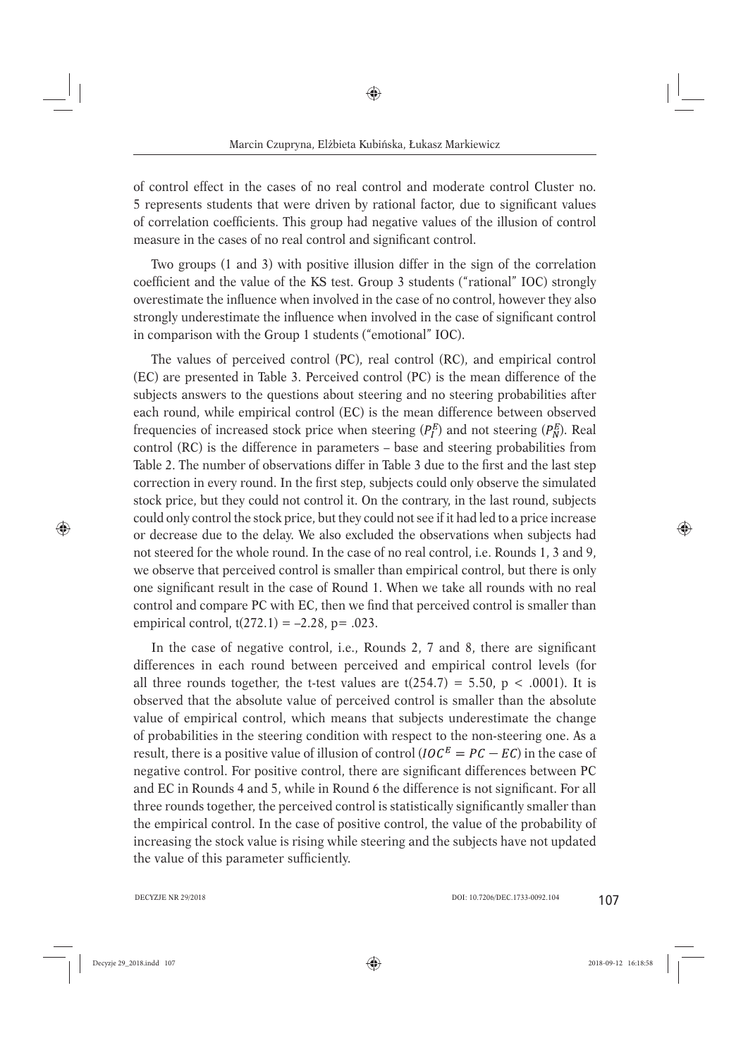of control effect in the cases of no real control and moderate control Cluster no. 5 represents students that were driven by rational factor, due to significant values of correlation coefficients. This group had negative values of the illusion of control measure in the cases of no real control and significant control.

Two groups (1 and 3) with positive illusion differ in the sign of the correlation coefficient and the value of the KS test. Group 3 students ("rational" IOC) strongly overestimate the influence when involved in the case of no control, however they also strongly underestimate the influence when involved in the case of significant control in comparison with the Group 1 students ("emotional" IOC).

The values of perceived control (PC), real control (RC), and empirical control (EC) are presented in Table 3. Perceived control (PC) is the mean difference of the subjects answers to the questions about steering and no steering probabilities after each round, while empirical control (EC) is the mean difference between observed frequencies of increased stock price when steering  $(P_L^E)$  and not steering  $(P_N^E)$ . Real control (RC) is the difference in parameters – base and steering probabilities from Table 2. The number of observations differ in Table 3 due to the first and the last step correction in every round. In the first step, subjects could only observe the simulated stock price, but they could not control it. On the contrary, in the last round, subjects could only control the stock price, but they could not see if it had led to a price increase or decrease due to the delay. We also excluded the observations when subjects had not steered for the whole round. In the case of no real control, i.e. Rounds 1, 3 and 9, we observe that perceived control is smaller than empirical control, but there is only one significant result in the case of Round 1. When we take all rounds with no real control and compare PC with EC, then we find that perceived control is smaller than empirical control,  $t(272.1) = -2.28$ , p= .023.

In the case of negative control, i.e., Rounds  $2$ ,  $7$  and  $8$ , there are significant differences in each round between perceived and empirical control levels (for all three rounds together, the t-test values are  $t(254.7) = 5.50$ , p < .0001). It is observed that the absolute value of perceived control is smaller than the absolute value of empirical control, which means that subjects underestimate the change of probabilities in the steering condition with respect to the non-steering one. As a result, there is a positive value of illusion of control ( $IOCE = PC - EC$ ) in the case of negative control. For positive control, there are significant differences between PC and EC in Rounds 4 and 5, while in Round 6 the difference is not significant. For all three rounds together, the perceived control is statistically significantly smaller than the empirical control. In the case of positive control, the value of the probability of increasing the stock value is rising while steering and the subjects have not updated the value of this parameter sufficiently.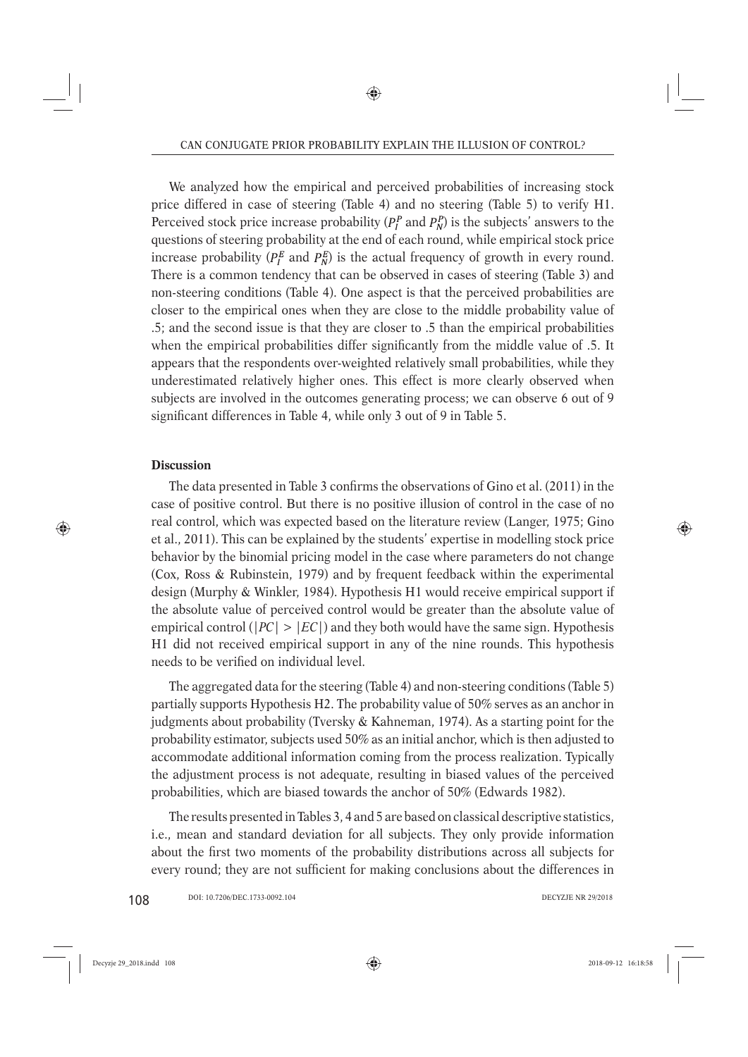We analyzed how the empirical and perceived probabilities of increasing stock price differed in case of steering (Table 4) and no steering (Table 5) to verify H1. Perceived stock price increase probability ( $P_l^P$  and  $P_N^P$ ) is the subjects' answers to the questions of steering probability at the end of each round, while empirical stock price increase probability ( $P_I^E$  and  $P_N^E$ ) is the actual frequency of growth in every round. There is a common tendency that can be observed in cases of steering (Table 3) and non-steering conditions (Table 4). One aspect is that the perceived probabilities are closer to the empirical ones when they are close to the middle probability value of .5; and the second issue is that they are closer to .5 than the empirical probabilities when the empirical probabilities differ significantly from the middle value of  $\overline{0.5}$ . It appears that the respondents over-weighted relatively small probabilities, while they underestimated relatively higher ones. This effect is more clearly observed when subjects are involved in the outcomes generating process; we can observe 6 out of 9 significant differences in Table 4, while only 3 out of 9 in Table 5.

#### **Discussion**

The data presented in Table 3 confirms the observations of Gino et al.  $(2011)$  in the case of positive control. But there is no positive illusion of control in the case of no real control, which was expected based on the literature review (Langer, 1975; Gino et al., 2011). This can be explained by the students' expertise in modelling stock price behavior by the binomial pricing model in the case where parameters do not change (Cox, Ross & Rubinstein, 1979) and by frequent feedback within the experimental design (Murphy & Winkler, 1984). Hypothesis H1 would receive empirical support if the absolute value of perceived control would be greater than the absolute value of empirical control ( $|PC| > |EC|$ ) and they both would have the same sign. Hypothesis H1 did not received empirical support in any of the nine rounds. This hypothesis needs to be verified on individual level.

The aggregated data for the steering (Table 4) and non-steering conditions (Table 5) partially supports Hypothesis H2. The probability value of 50% serves as an anchor in judgments about probability (Tversky & Kahneman, 1974). As a starting point for the probability estimator, subjects used 50% as an initial anchor, which is then adjusted to accommodate additional information coming from the process realization. Typically the adjustment process is not adequate, resulting in biased values of the perceived probabilities, which are biased towards the anchor of 50% (Edwards 1982).

The results presented in Tables 3, 4 and 5 are based on classical descriptive statistics, i.e., mean and standard deviation for all subjects. They only provide information about the first two moments of the probability distributions across all subjects for every round; they are not sufficient for making conclusions about the differences in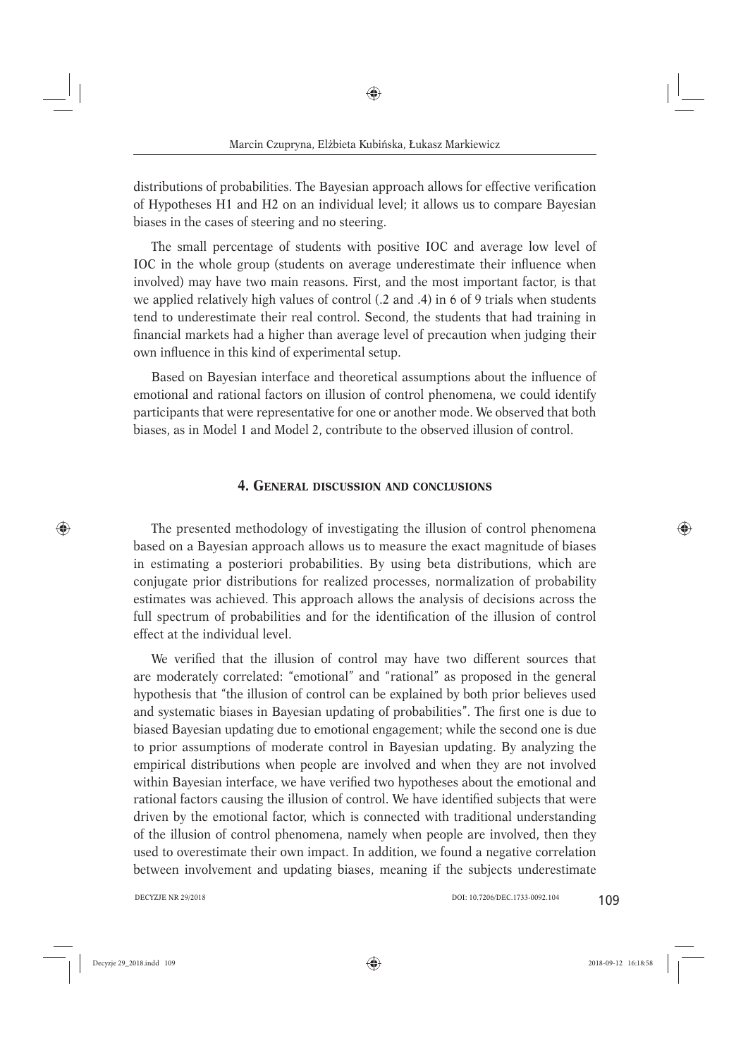distributions of probabilities. The Bayesian approach allows for effective verification of Hypotheses H1 and H2 on an individual level; it allows us to compare Bayesian biases in the cases of steering and no steering.

The small percentage of students with positive IOC and average low level of IOC in the whole group (students on average underestimate their influence when involved) may have two main reasons. First, and the most important factor, is that we applied relatively high values of control (.2 and .4) in 6 of 9 trials when students tend to underestimate their real control. Second, the students that had training in financial markets had a higher than average level of precaution when judging their own influence in this kind of experimental setup.

Based on Bayesian interface and theoretical assumptions about the influence of emotional and rational factors on illusion of control phenomena, we could identify participants that were representative for one or another mode. We observed that both biases, as in Model 1 and Model 2, contribute to the observed illusion of control.

#### **4. GENERAL DISCUSSION AND CONCLUSIONS**

The presented methodology of investigating the illusion of control phenomena based on a Bayesian approach allows us to measure the exact magnitude of biases in estimating a posteriori probabilities. By using beta distributions, which are conjugate prior distributions for realized processes, normalization of probability estimates was achieved. This approach allows the analysis of decisions across the full spectrum of probabilities and for the identification of the illusion of control effect at the individual level.

We verified that the illusion of control may have two different sources that are moderately correlated: "emotional" and "rational" as proposed in the general hypothesis that "the illusion of control can be explained by both prior believes used and systematic biases in Bayesian updating of probabilities". The first one is due to biased Bayesian updating due to emotional engagement; while the second one is due to prior assumptions of moderate control in Bayesian updating. By analyzing the empirical distributions when people are involved and when they are not involved within Bayesian interface, we have verified two hypotheses about the emotional and rational factors causing the illusion of control. We have identified subjects that were driven by the emotional factor, which is connected with traditional understanding of the illusion of control phenomena, namely when people are involved, then they used to overestimate their own impact. In addition, we found a negative correlation between involvement and updating biases, meaning if the subjects underestimate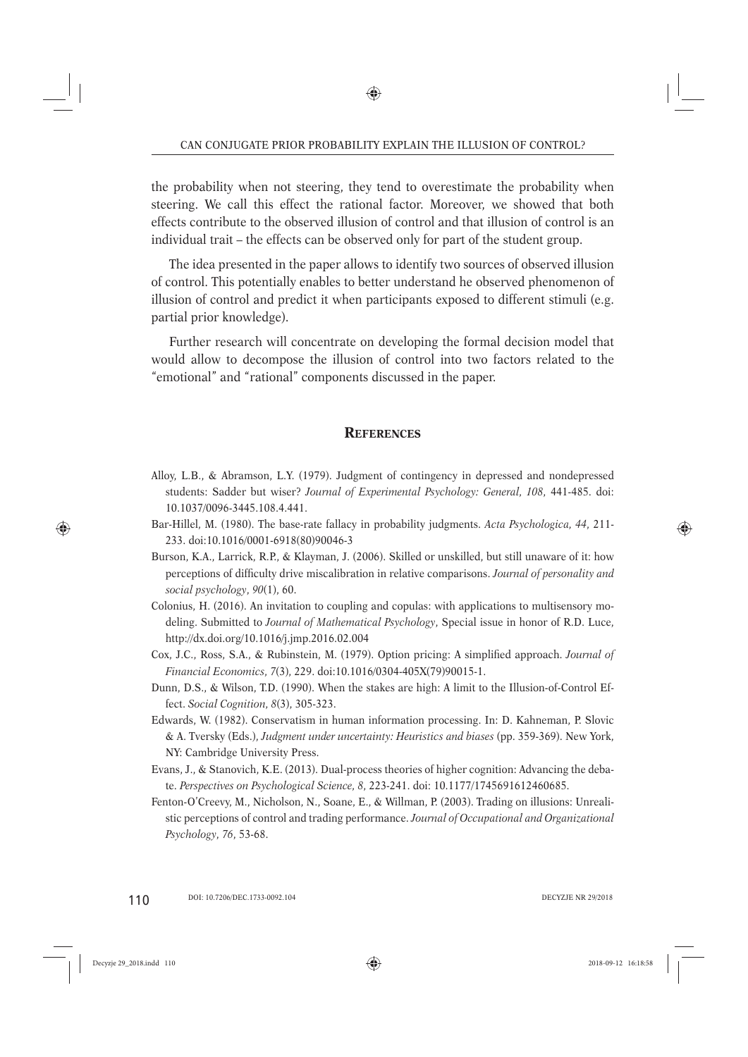the probability when not steering, they tend to overestimate the probability when steering. We call this effect the rational factor. Moreover, we showed that both effects contribute to the observed illusion of control and that illusion of control is an individual trait – the effects can be observed only for part of the student group.

The idea presented in the paper allows to identify two sources of observed illusion of control. This potentially enables to better understand he observed phenomenon of illusion of control and predict it when participants exposed to different stimuli (e.g. partial prior knowledge).

Further research will concentrate on developing the formal decision model that would allow to decompose the illusion of control into two factors related to the "emotional" and "rational" components discussed in the paper.

## **REFERENCES**

- Alloy, L.B., & Abramson, L.Y. (1979). Judgment of contingency in depressed and nondepressed students: Sadder but wiser? *Journal of Experimental Psychology: General, 108*, 441-485. doi: 10.1037/0096-3445.108.4.441.
- Bar-Hillel, M. (1980). The base-rate fallacy in probability judgments. *Acta Psychologica, 44*, 211- 233. doi:10.1016/0001-6918(80)90046-3
- Burson, K.A., Larrick, R.P., & Klayman, J. (2006). Skilled or unskilled, but still unaware of it: how perceptions of difficulty drive miscalibration in relative comparisons. *Journal of personality and social psychology*, *90*(1), 60.
- Colonius, H. (2016). An invitation to coupling and copulas: with applications to multisensory modeling. Submitted to *Journal of Mathematical Psychology*, Special issue in honor of R.D. Luce, http://dx.doi.org/10.1016/j.jmp.2016.02.004
- Cox, J.C., Ross, S.A., & Rubinstein, M. (1979). Option pricing: A simplified approach. *Journal of Financial Economics, 7*(3), 229. doi:10.1016/0304-405X(79)90015-1.
- Dunn, D.S., & Wilson, T.D. (1990). When the stakes are high: A limit to the Illusion-of-Control Effect. *Social Cognition, 8*(3), 305-323.
- Edwards, W. (1982). Conservatism in human information processing. In: D. Kahneman, P. Slovic & A. Tversky (Eds.), *Judgment under uncertainty: Heuristics and biases* (pp. 359-369). New York, NY: Cambridge University Press.
- Evans, J., & Stanovich, K.E. (2013). Dual-process theories of higher cognition: Advancing the debate. *Perspectives on Psychological Science, 8*, 223-241. doi: 10.1177/1745691612460685.
- Fenton-O'Creevy, M., Nicholson, N., Soane, E., & Willman, P. (2003). Trading on illusions: Unrealistic perceptions of control and trading performance. *Journal of Occupational and Organizational Psychology*, *76*, 53-68.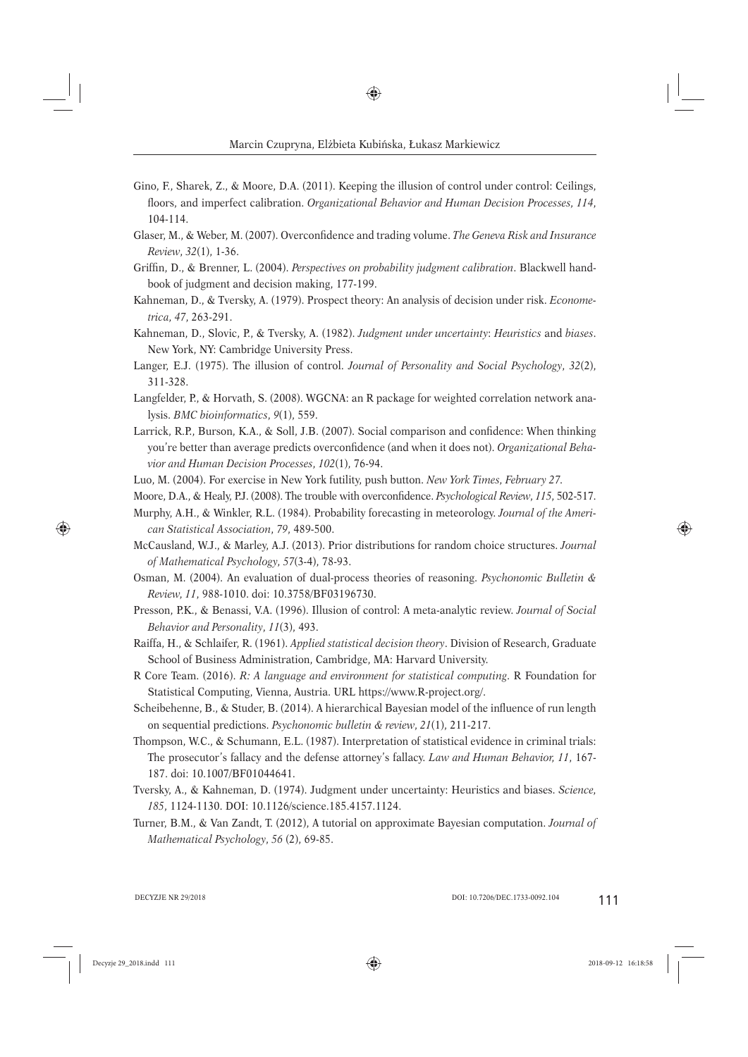- Gino, F., Sharek, Z., & Moore, D.A. (2011). Keeping the illusion of control under control: Ceilings, fl oors, and imperfect calibration. *Organizational Behavior and Human Decision Processes, 114*, 104-114.
- Glaser, M., & Weber, M. (2007). Overconfidence and trading volume. *The Geneva Risk and Insurance Review*, *32*(1), 1-36.
- Griffin, D., & Brenner, L. (2004). *Perspectives on probability judgment calibration*. Blackwell handbook of judgment and decision making, 177-199.
- Kahneman, D., & Tversky, A. (1979). Prospect theory: An analysis of decision under risk. *Econometrica, 47*, 263-291.
- Kahneman, D., Slovic, P., & Tversky, A. (1982). *Judgment under uncertainty*: *Heuristics* and *biases*. New York, NY: Cambridge University Press.
- Langer, E.J. (1975). The illusion of control. *Journal of Personality and Social Psychology*, *32*(2), 311-328.
- Langfelder, P., & Horvath, S. (2008). WGCNA: an R package for weighted correlation network analysis. *BMC bioinformatics*, *9*(1), 559.
- Larrick, R.P., Burson, K.A., & Soll, J.B. (2007). Social comparison and confidence: When thinking you're better than average predicts overconfidence (and when it does not). *Organizational Behavior and Human Decision Processes*, *102*(1), 76-94.
- Luo, M. (2004). For exercise in New York futility, push button. *New York Times, February 27.*
- Moore, D.A., & Healy, P.J. (2008). The trouble with overconfidence. *Psychological Review*, 115, 502-517.
- Murphy, A.H., & Winkler, R.L. (1984). Probability forecasting in meteorology. *Journal of the American Statistical Association*, *79*, 489-500.
- McCausland, W.J., & Marley, A.J. (2013). Prior distributions for random choice structures. *Journal of Mathematical Psychology, 57*(3-4), 78-93.
- Osman, M. (2004). An evaluation of dual-process theories of reasoning. *Psychonomic Bulletin & Review, 11*, 988-1010. doi: 10.3758/BF03196730.
- Presson, P.K., & Benassi, V.A. (1996). Illusion of control: A meta-analytic review. *Journal of Social Behavior and Personality*, *11*(3), 493.
- Raiffa, H., & Schlaifer, R. (1961). *Applied statistical decision theory*. Division of Research, Graduate School of Business Administration, Cambridge, MA: Harvard University.
- R Core Team. (2016). *R: A language and environment for statistical computing*. R Foundation for Statistical Computing, Vienna, Austria. URL https://www.R-project.org/.
- Scheibehenne, B., & Studer, B. (2014). A hierarchical Bayesian model of the influence of run length on sequential predictions. *Psychonomic bulletin & review*, *21*(1), 211-217.
- Thompson, W.C., & Schumann, E.L. (1987). Interpretation of statistical evidence in criminal trials: The prosecutor's fallacy and the defense attorney's fallacy. *Law and Human Behavior, 11*, 167- 187. doi: 10.1007/BF01044641.
- Tversky, A., & Kahneman, D. (1974). Judgment under uncertainty: Heuristics and biases. *Science, 185*, 1124-1130. DOI: 10.1126/science.185.4157.1124.
- Turner, B.M., & Van Zandt, T. (2012), A tutorial on approximate Bayesian computation. *Journal of Mathematical Psychology*, *56* (2), 69-85.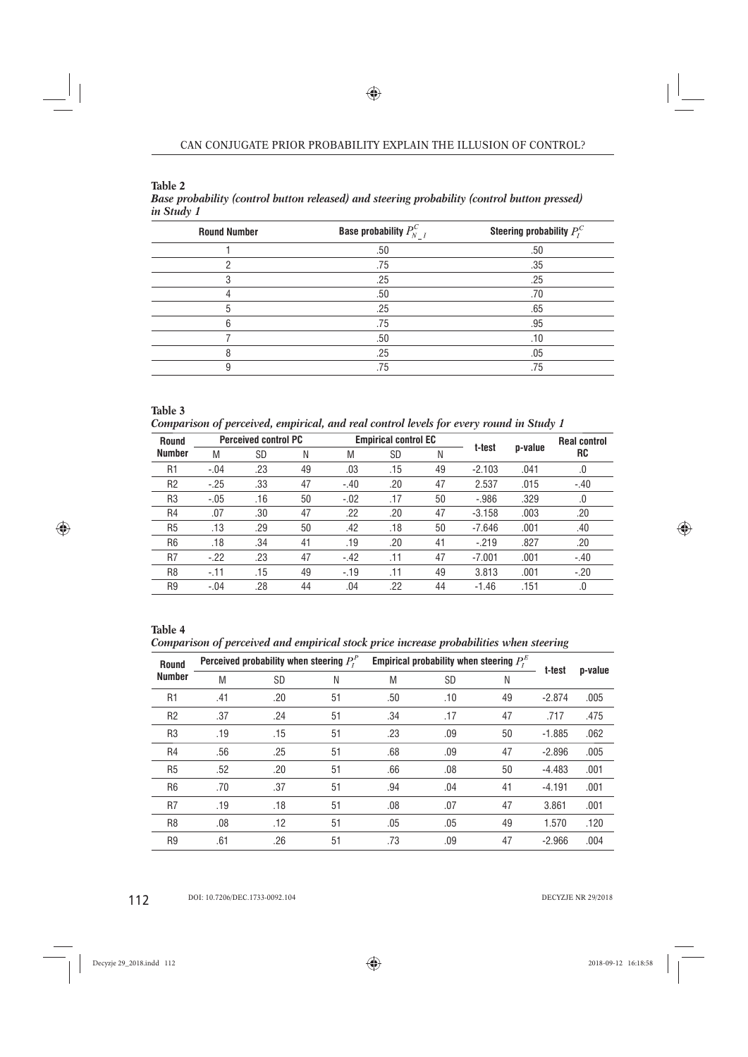| <b>Round Number</b> | <b>Base probability</b> $P_{N-I}^C$ | Steering probability $P_I^C$ |
|---------------------|-------------------------------------|------------------------------|
|                     | .50                                 | .50                          |
|                     | .75                                 | .35                          |
| 3                   | .25                                 | .25                          |
|                     | .50                                 | .70                          |
| 5                   | .25                                 | .65                          |
| հ                   | .75                                 | .95                          |
|                     | .50                                 | .10                          |
| 8                   | .25                                 | .05                          |
| 9                   | .75                                 | .75                          |
|                     |                                     |                              |

**Table 2** *Base probability (control button released) and steering probability (control button pressed) in Study 1*

**Table 3** *Comparison of perceived, empirical, and real control levels for every round in Study 1*

| Round          | <b>Perceived control PC</b> |           |    |        | <b>Empirical control EC</b> |    | t-test   |         | <b>Real control</b> |
|----------------|-----------------------------|-----------|----|--------|-----------------------------|----|----------|---------|---------------------|
| <b>Number</b>  | M                           | <b>SD</b> | Ν  | M      | <b>SD</b>                   | N  |          | p-value | RC                  |
| R1             | $-.04$                      | .23       | 49 | .03    | .15                         | 49 | $-2.103$ | .041    | .0                  |
| R <sub>2</sub> | $-.25$                      | .33       | 47 | $-.40$ | .20                         | 47 | 2.537    | .015    | $-.40$              |
| R <sub>3</sub> | $-.05$                      | .16       | 50 | $-.02$ | .17                         | 50 | $-.986$  | .329    | .0                  |
| R <sub>4</sub> | .07                         | .30       | 47 | .22    | .20                         | 47 | $-3.158$ | .003    | .20                 |
| R <sub>5</sub> | .13                         | .29       | 50 | .42    | .18                         | 50 | $-7.646$ | .001    | .40                 |
| R <sub>6</sub> | .18                         | .34       | 41 | .19    | .20                         | 41 | $-.219$  | .827    | .20                 |
| R7             | $-.22$                      | .23       | 47 | $-.42$ | .11                         | 47 | $-7.001$ | .001    | $-.40$              |
| R <sub>8</sub> | $-11$                       | .15       | 49 | $-19$  | .11                         | 49 | 3.813    | .001    | $-.20$              |
| R <sub>9</sub> | $-.04$                      | .28       | 44 | .04    | .22                         | 44 | $-1.46$  | .151    | .0                  |

## **Table 4**

*Comparison of perceived and empirical stock price increase probabilities when steering*

| <b>Round</b><br><b>Number</b> |     | Perceived probability when steering $P_t^P$ |    | Empirical probability when steering $P_t^E$ |           |    |          |         |
|-------------------------------|-----|---------------------------------------------|----|---------------------------------------------|-----------|----|----------|---------|
|                               | M   | <b>SD</b>                                   | N  | M                                           | <b>SD</b> | N  | t-test   | p-value |
| R <sub>1</sub>                | .41 | .20                                         | 51 | .50                                         | .10       | 49 | $-2.874$ | .005    |
| R <sub>2</sub>                | .37 | .24                                         | 51 | .34                                         | .17       | 47 | .717     | .475    |
| R <sub>3</sub>                | .19 | .15                                         | 51 | .23                                         | .09       | 50 | $-1.885$ | .062    |
| R <sub>4</sub>                | .56 | .25                                         | 51 | .68                                         | .09       | 47 | $-2.896$ | .005    |
| R <sub>5</sub>                | .52 | .20                                         | 51 | .66                                         | .08       | 50 | $-4.483$ | .001    |
| R <sub>6</sub>                | .70 | .37                                         | 51 | .94                                         | .04       | 41 | $-4.191$ | .001    |
| R <sub>7</sub>                | .19 | .18                                         | 51 | .08                                         | .07       | 47 | 3.861    | .001    |
| R <sub>8</sub>                | .08 | .12                                         | 51 | .05                                         | .05       | 49 | 1.570    | .120    |
| R <sub>9</sub>                | .61 | .26                                         | 51 | .73                                         | .09       | 47 | $-2.966$ | .004    |